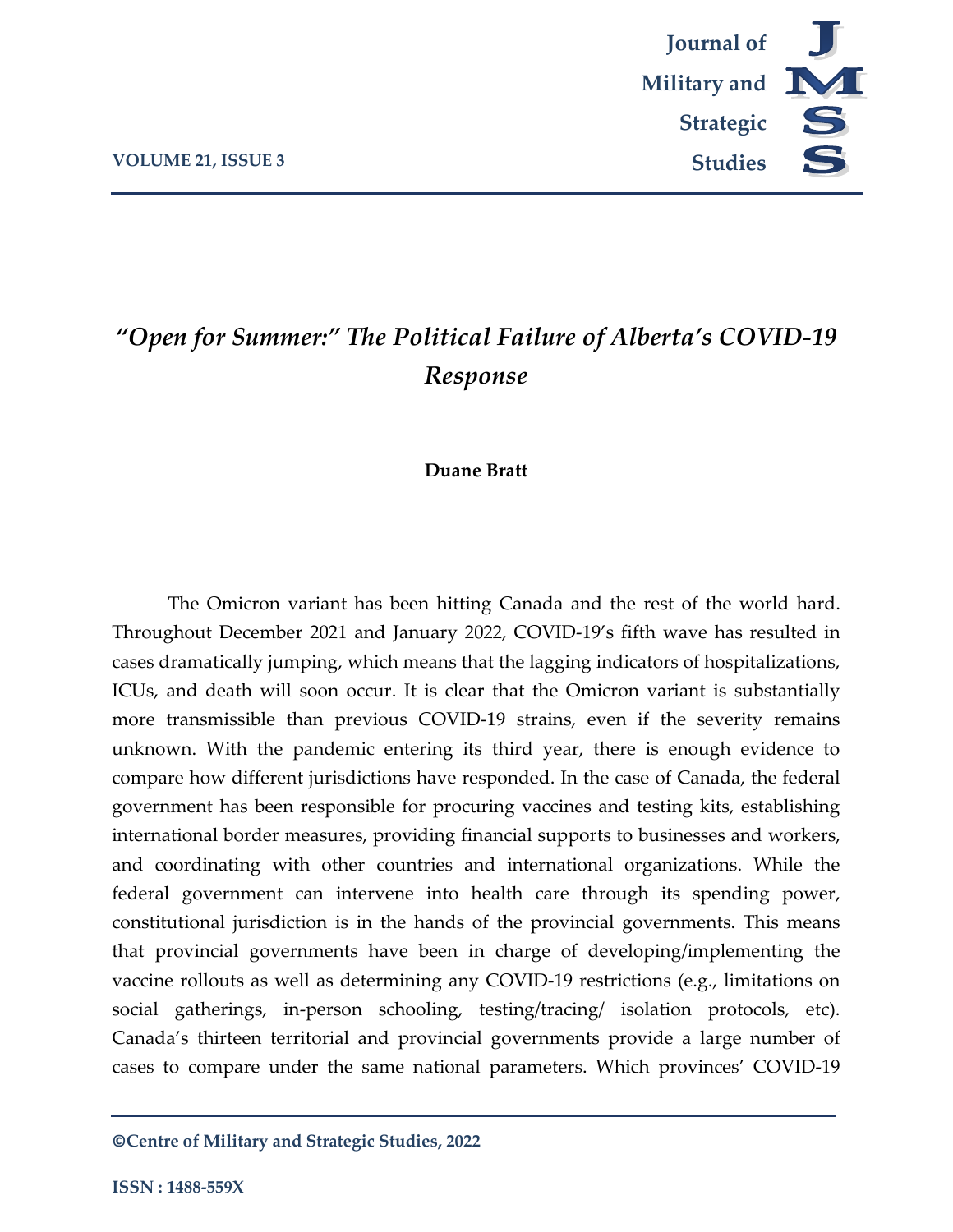

# *"Open for Summer:" The Political Failure of Alberta's COVID-19 Response*

#### **Duane Bratt**

The Omicron variant has been hitting Canada and the rest of the world hard. Throughout December 2021 and January 2022, COVID-19's fifth wave has resulted in cases dramatically jumping, which means that the lagging indicators of hospitalizations, ICUs, and death will soon occur. It is clear that the Omicron variant is substantially more transmissible than previous COVID-19 strains, even if the severity remains unknown. With the pandemic entering its third year, there is enough evidence to compare how different jurisdictions have responded. In the case of Canada, the federal government has been responsible for procuring vaccines and testing kits, establishing international border measures, providing financial supports to businesses and workers, and coordinating with other countries and international organizations. While the federal government can intervene into health care through its spending power, constitutional jurisdiction is in the hands of the provincial governments. This means that provincial governments have been in charge of developing/implementing the vaccine rollouts as well as determining any COVID-19 restrictions (e.g., limitations on social gatherings, in-person schooling, testing/tracing/ isolation protocols, etc). Canada's thirteen territorial and provincial governments provide a large number of cases to compare under the same national parameters. Which provinces' COVID-19

**©Centre of Military and Strategic Studies, 2022**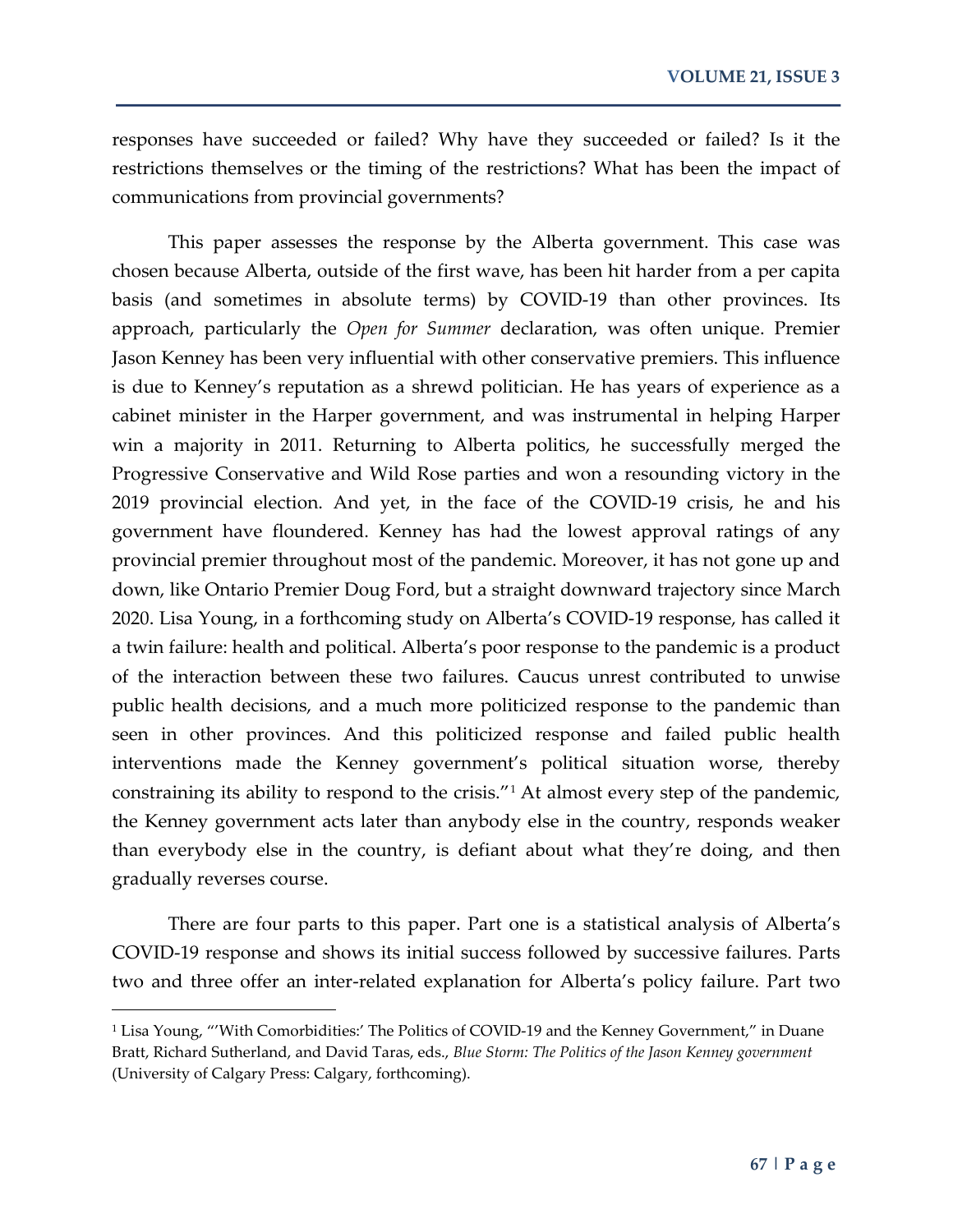responses have succeeded or failed? Why have they succeeded or failed? Is it the restrictions themselves or the timing of the restrictions? What has been the impact of communications from provincial governments?

This paper assesses the response by the Alberta government. This case was chosen because Alberta, outside of the first wave, has been hit harder from a per capita basis (and sometimes in absolute terms) by COVID-19 than other provinces. Its approach, particularly the *Open for Summer* declaration, was often unique. Premier Jason Kenney has been very influential with other conservative premiers. This influence is due to Kenney's reputation as a shrewd politician. He has years of experience as a cabinet minister in the Harper government, and was instrumental in helping Harper win a majority in 2011. Returning to Alberta politics, he successfully merged the Progressive Conservative and Wild Rose parties and won a resounding victory in the 2019 provincial election. And yet, in the face of the COVID-19 crisis, he and his government have floundered. Kenney has had the lowest approval ratings of any provincial premier throughout most of the pandemic. Moreover, it has not gone up and down, like Ontario Premier Doug Ford, but a straight downward trajectory since March 2020. Lisa Young, in a forthcoming study on Alberta's COVID-19 response, has called it a twin failure: health and political. Alberta's poor response to the pandemic is a product of the interaction between these two failures. Caucus unrest contributed to unwise public health decisions, and a much more politicized response to the pandemic than seen in other provinces. And this politicized response and failed public health interventions made the Kenney government's political situation worse, thereby constraining its ability to respond to the crisis."[1](#page-1-0) At almost every step of the pandemic, the Kenney government acts later than anybody else in the country, responds weaker than everybody else in the country, is defiant about what they're doing, and then gradually reverses course.

There are four parts to this paper. Part one is a statistical analysis of Alberta's COVID-19 response and shows its initial success followed by successive failures. Parts two and three offer an inter-related explanation for Alberta's policy failure. Part two

 $\overline{a}$ 

<span id="page-1-0"></span><sup>&</sup>lt;sup>1</sup> Lisa Young, "'With Comorbidities:' The Politics of COVID-19 and the Kenney Government," in Duane Bratt, Richard Sutherland, and David Taras, eds., *Blue Storm: The Politics of the Jason Kenney government* (University of Calgary Press: Calgary, forthcoming).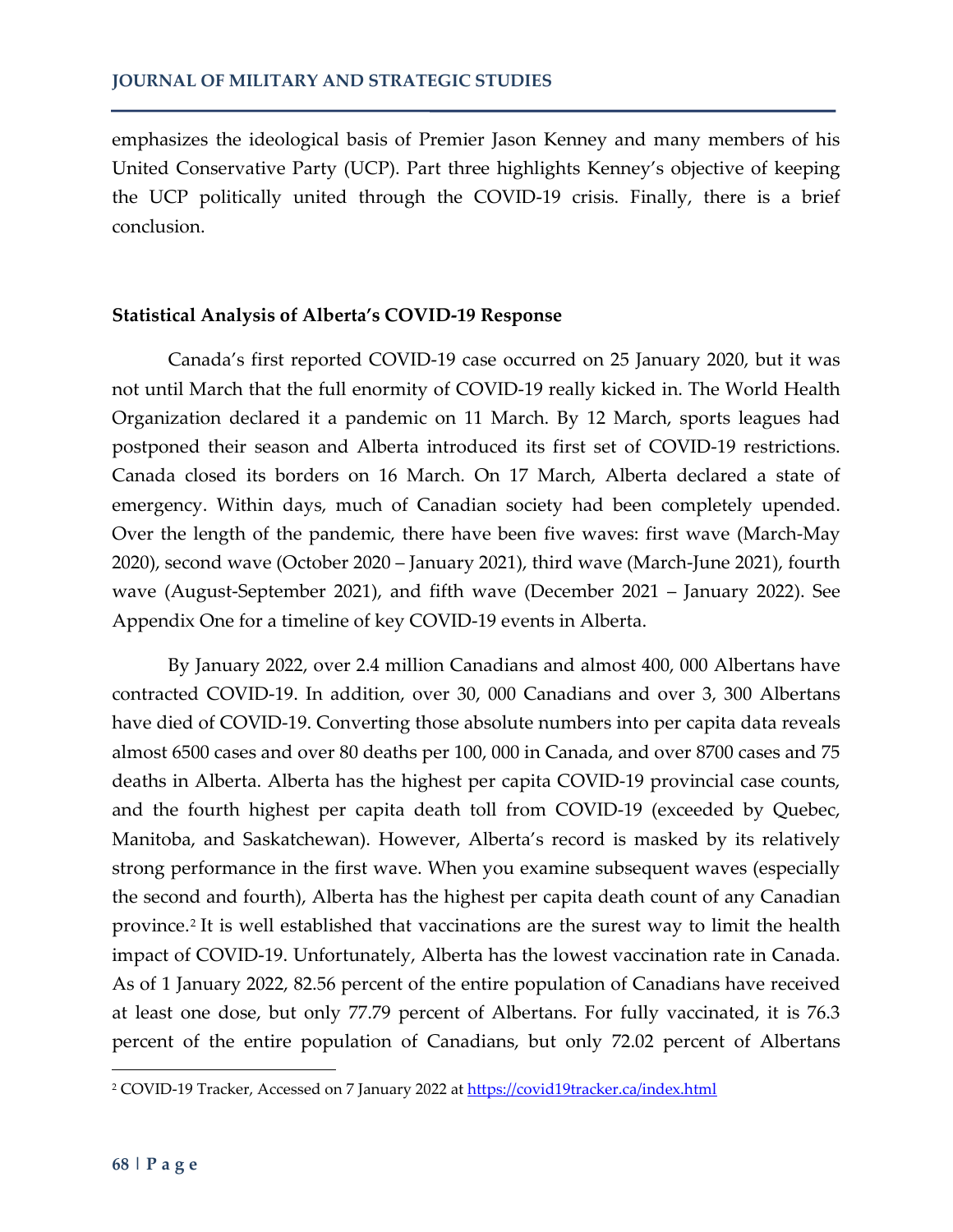emphasizes the ideological basis of Premier Jason Kenney and many members of his United Conservative Party (UCP). Part three highlights Kenney's objective of keeping the UCP politically united through the COVID-19 crisis. Finally, there is a brief conclusion.

#### **Statistical Analysis of Alberta's COVID-19 Response**

Canada's first reported COVID-19 case occurred on 25 January 2020, but it was not until March that the full enormity of COVID-19 really kicked in. The World Health Organization declared it a pandemic on 11 March. By 12 March, sports leagues had postponed their season and Alberta introduced its first set of COVID-19 restrictions. Canada closed its borders on 16 March. On 17 March, Alberta declared a state of emergency. Within days, much of Canadian society had been completely upended. Over the length of the pandemic, there have been five waves: first wave (March-May 2020), second wave (October 2020 – January 2021), third wave (March-June 2021), fourth wave (August-September 2021), and fifth wave (December 2021 – January 2022). See Appendix One for a timeline of key COVID-19 events in Alberta.

By January 2022, over 2.4 million Canadians and almost 400, 000 Albertans have contracted COVID-19. In addition, over 30, 000 Canadians and over 3, 300 Albertans have died of COVID-19. Converting those absolute numbers into per capita data reveals almost 6500 cases and over 80 deaths per 100, 000 in Canada, and over 8700 cases and 75 deaths in Alberta. Alberta has the highest per capita COVID-19 provincial case counts, and the fourth highest per capita death toll from COVID-19 (exceeded by Quebec, Manitoba, and Saskatchewan). However, Alberta's record is masked by its relatively strong performance in the first wave. When you examine subsequent waves (especially the second and fourth), Alberta has the highest per capita death count of any Canadian province.<sup>[2](#page-2-0)</sup> It is well established that vaccinations are the surest way to limit the health impact of COVID-19. Unfortunately, Alberta has the lowest vaccination rate in Canada. As of 1 January 2022, 82.56 percent of the entire population of Canadians have received at least one dose, but only 77.79 percent of Albertans. For fully vaccinated, it is 76.3 percent of the entire population of Canadians, but only 72.02 percent of Albertans

 $\overline{a}$ 

<span id="page-2-0"></span><sup>&</sup>lt;sup>2</sup> COVID-19 Tracker, Accessed on 7 January 2022 at<https://covid19tracker.ca/index.html>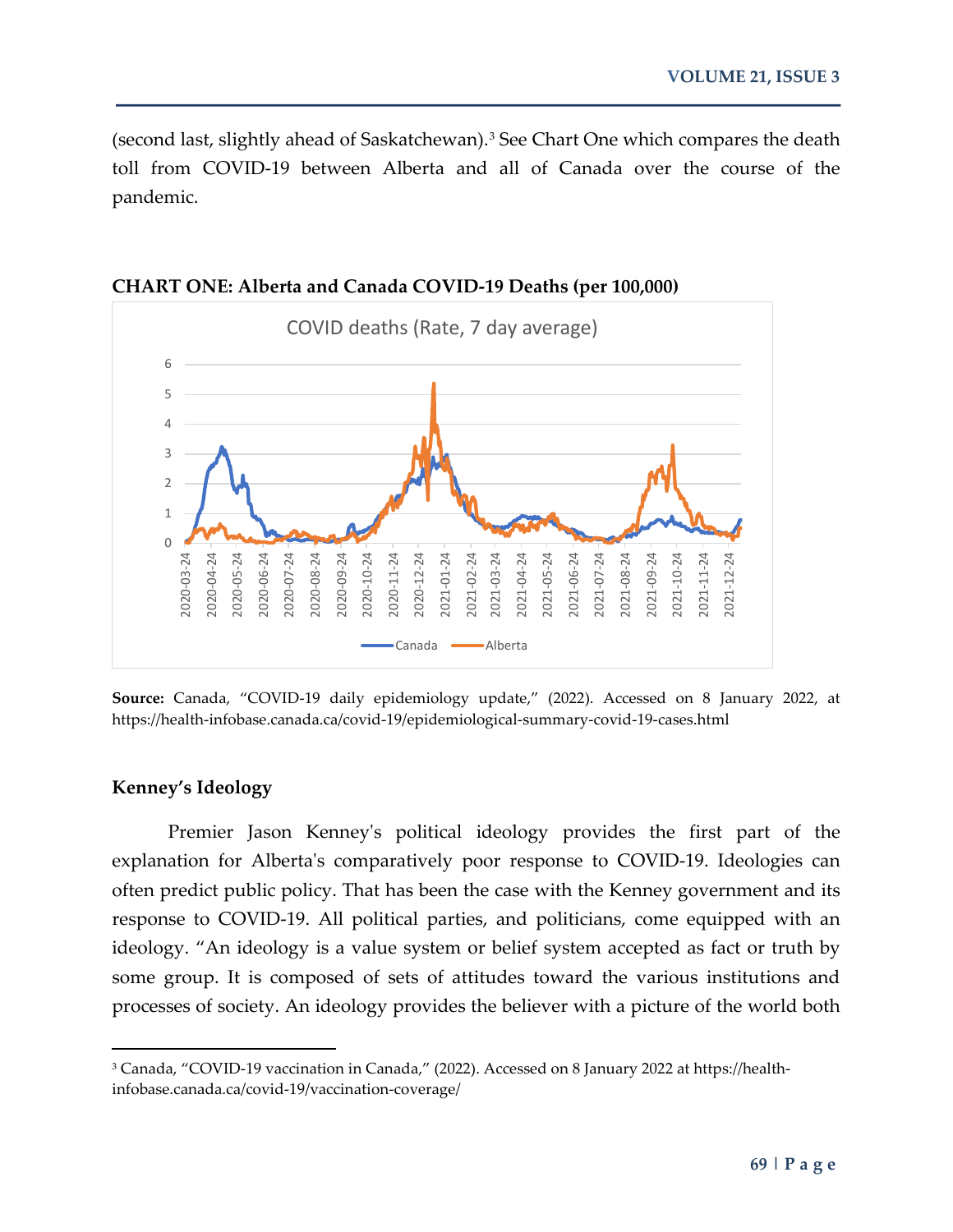(second last, slightly ahead of Saskatchewan).<sup>[3](#page-3-0)</sup> See Chart One which compares the death toll from COVID-19 between Alberta and all of Canada over the course of the pandemic.



**CHART ONE: Alberta and Canada COVID-19 Deaths (per 100,000)**

**Source:** Canada, "COVID-19 daily epidemiology update," (2022). Accessed on 8 January 2022, at https://health-infobase.canada.ca/covid-19/epidemiological-summary-covid-19-cases.html

#### **Kenney's Ideology**

l

Premier Jason Kenney's political ideology provides the first part of the explanation for Alberta's comparatively poor response to COVID-19. Ideologies can often predict public policy. That has been the case with the Kenney government and its response to COVID-19. All political parties, and politicians, come equipped with an ideology. "An ideology is a value system or belief system accepted as fact or truth by some group. It is composed of sets of attitudes toward the various institutions and processes of society. An ideology provides the believer with a picture of the world both

<span id="page-3-0"></span><sup>3</sup> Canada, "COVID-19 vaccination in Canada," (2022). Accessed on 8 January 2022 at https://healthinfobase.canada.ca/covid-19/vaccination-coverage/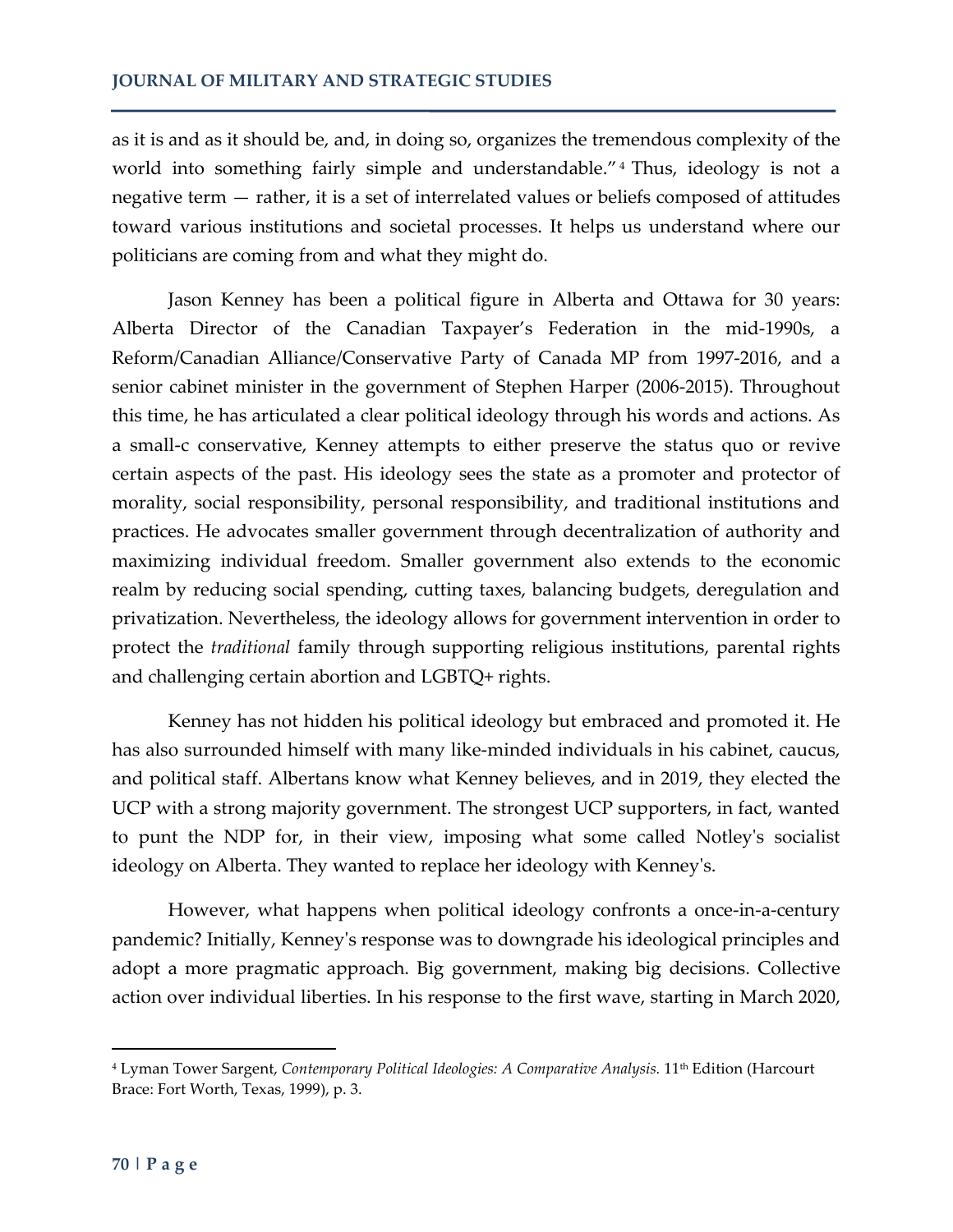as it is and as it should be, and, in doing so, organizes the tremendous complexity of the world into something fairly simple and understandable." [4](#page-4-0) Thus, ideology is not a negative term — rather, it is a set of interrelated values or beliefs composed of attitudes toward various institutions and societal processes. It helps us understand where our politicians are coming from and what they might do.

Jason Kenney has been a political figure in Alberta and Ottawa for 30 years: Alberta Director of the Canadian Taxpayer's Federation in the mid-1990s, a Reform/Canadian Alliance/Conservative Party of Canada MP from 1997-2016, and a senior cabinet minister in the government of Stephen Harper (2006-2015). Throughout this time, he has articulated a clear political ideology through his words and actions. As a small-c conservative, Kenney attempts to either preserve the status quo or revive certain aspects of the past. His ideology sees the state as a promoter and protector of morality, social responsibility, personal responsibility, and traditional institutions and practices. He advocates smaller government through decentralization of authority and maximizing individual freedom. Smaller government also extends to the economic realm by reducing social spending, cutting taxes, balancing budgets, deregulation and privatization. Nevertheless, the ideology allows for government intervention in order to protect the *traditional* family through supporting religious institutions, parental rights and challenging certain abortion and LGBTQ+ rights.

Kenney has not hidden his political ideology but embraced and promoted it. He has also surrounded himself with many like-minded individuals in his cabinet, caucus, and political staff. Albertans know what Kenney believes, and in 2019, they elected the UCP with a strong majority government. The strongest UCP supporters, in fact, wanted to punt the NDP for, in their view, imposing what some called Notley's socialist ideology on Alberta. They wanted to replace her ideology with Kenney's.

However, what happens when political ideology confronts a once-in-a-century pandemic? Initially, Kenney's response was to downgrade his ideological principles and adopt a more pragmatic approach. Big government, making big decisions. Collective action over individual liberties. In his response to the first wave, starting in March 2020,

<span id="page-4-0"></span><sup>&</sup>lt;sup>4</sup> Lyman Tower Sargent, *Contemporary Political Ideologies: A Comparative Analysis*. 11<sup>th</sup> Edition (Harcourt Brace: Fort Worth, Texas, 1999), p. 3.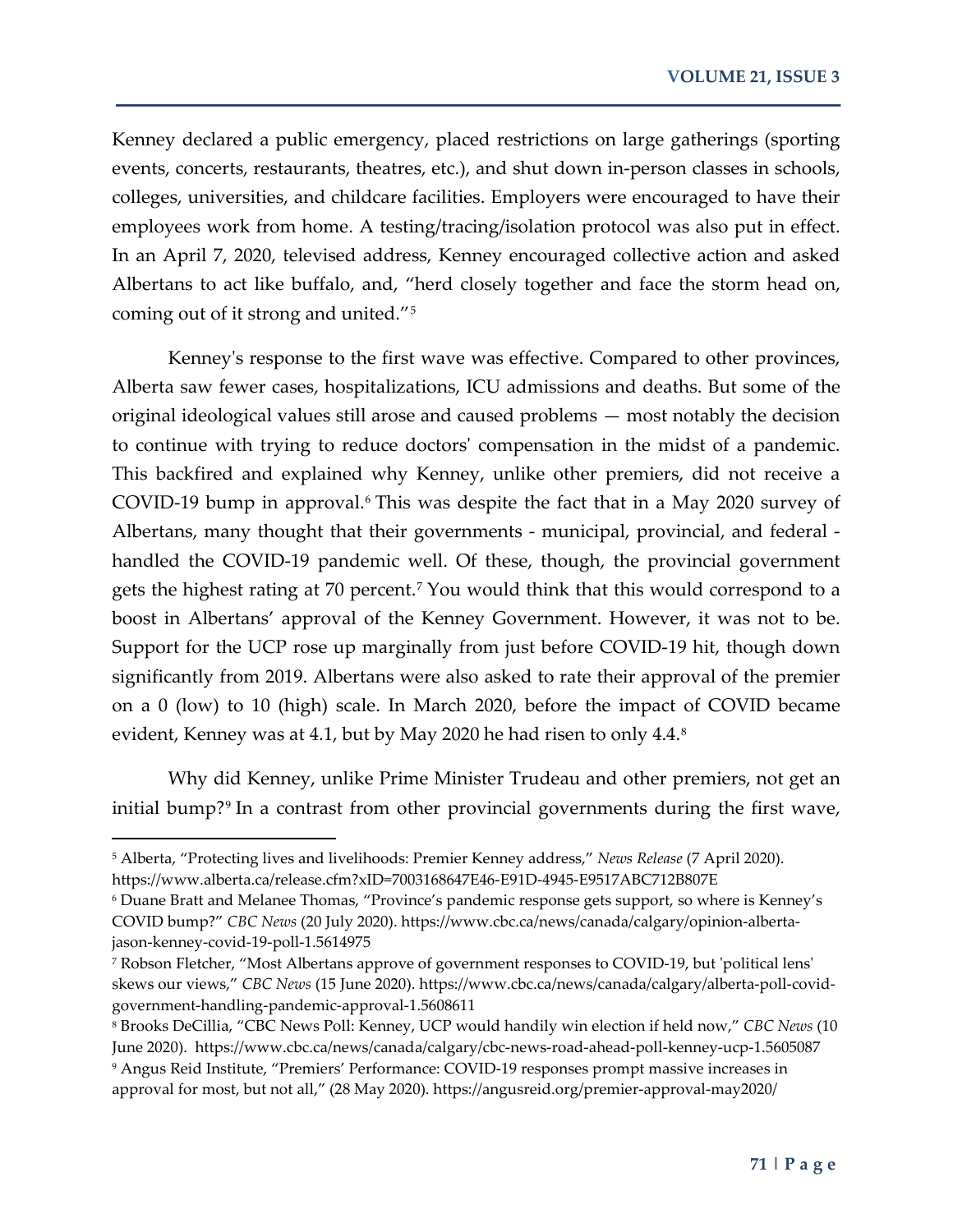Kenney declared a public emergency, placed restrictions on large gatherings (sporting events, concerts, restaurants, theatres, etc.), and shut down in-person classes in schools, colleges, universities, and childcare facilities. Employers were encouraged to have their employees work from home. A testing/tracing/isolation protocol was also put in effect. In an April 7, 2020, televised address, Kenney encouraged collective action and asked Albertans to act like buffalo, and, "herd closely together and face the storm head on, coming out of it strong and united."[5](#page-5-0)

Kenney's response to the first wave was effective. Compared to other provinces, Alberta saw fewer cases, hospitalizations, ICU admissions and deaths. But some of the original ideological values still arose and caused problems — most notably the decision to continue with trying to reduce doctors' compensation in the midst of a pandemic. This backfired and explained why Kenney, unlike other premiers, did not receive a COVID-19 bump in approval.[6](#page-5-1) This was despite the fact that in a May 2020 survey of Albertans, many thought that their governments - municipal, provincial, and federal handled the COVID-19 pandemic well. Of these, though, the provincial government gets the highest rating at 70 percent. [7](#page-5-2) You would think that this would correspond to a boost in Albertans' approval of the Kenney Government. However, it was not to be. Support for the UCP rose up marginally from just before COVID-19 hit, though down significantly from 2019. Albertans were also asked to rate their approval of the premier on a 0 (low) to 10 (high) scale. In March 2020, before the impact of COVID became evident, Kenney was at 4.1, but by May 2020 he had risen to only 4.4.<sup>[8](#page-5-3)</sup>

Why did Kenney, unlike Prime Minister Trudeau and other premiers, not get an initial bump?<sup>[9](#page-5-4)</sup> In a contrast from other provincial governments during the first wave,

<span id="page-5-0"></span><sup>5</sup> Alberta, "Protecting lives and livelihoods: Premier Kenney address," *News Release* (7 April 2020). https://www.alberta.ca/release.cfm?xID=7003168647E46-E91D-4945-E9517ABC712B807E

<span id="page-5-1"></span><sup>6</sup> Duane Bratt and Melanee Thomas, "Province's pandemic response gets support, so where is Kenney's COVID bump?" *CBC News* (20 July 2020). https://www.cbc.ca/news/canada/calgary/opinion-albertajason-kenney-covid-19-poll-1.5614975

<span id="page-5-2"></span><sup>7</sup> Robson Fletcher, "Most Albertans approve of government responses to COVID-19, but 'political lens' skews our views," *CBC News* (15 June 2020). https://www.cbc.ca/news/canada/calgary/alberta-poll-covidgovernment-handling-pandemic-approval-1.5608611

<span id="page-5-4"></span><span id="page-5-3"></span><sup>8</sup> Brooks DeCillia, "CBC News Poll: Kenney, UCP would handily win election if held now," *CBC News* (10 June 2020). https://www.cbc.ca/news/canada/calgary/cbc-news-road-ahead-poll-kenney-ucp-1.5605087 <sup>9</sup> Angus Reid Institute, "Premiers' Performance: COVID-19 responses prompt massive increases in approval for most, but not all," (28 May 2020). https://angusreid.org/premier-approval-may2020/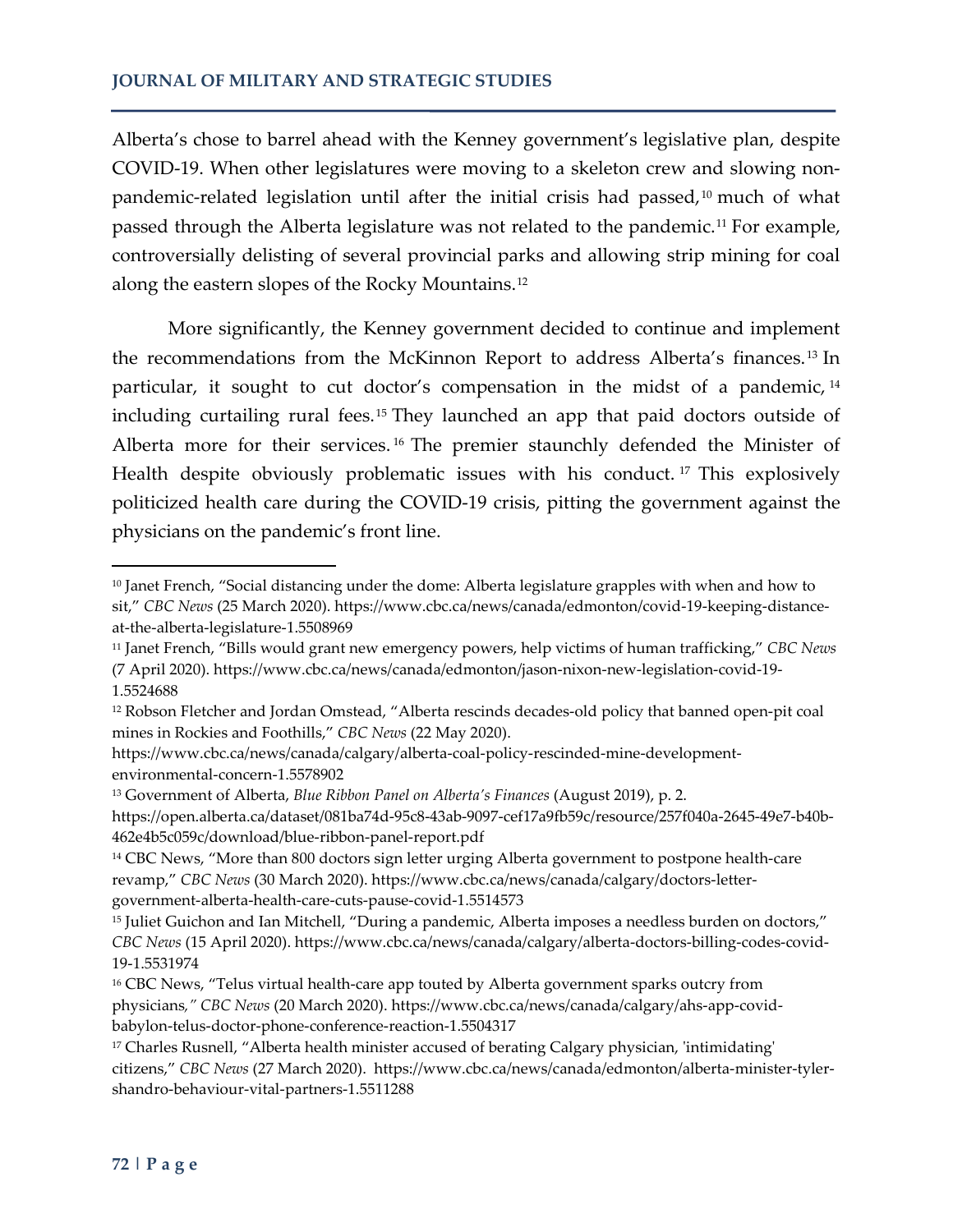Alberta's chose to barrel ahead with the Kenney government's legislative plan, despite COVID-19. When other legislatures were moving to a skeleton crew and slowing nonpandemic-related legislation until after the initial crisis had passed, $10$  much of what passed through the Alberta legislature was not related to the pandemic.<sup>[11](#page-6-1)</sup> For example, controversially delisting of several provincial parks and allowing strip mining for coal along the eastern slopes of the Rocky Mountains.[12](#page-6-2)

More significantly, the Kenney government decided to continue and implement the recommendations from the McKinnon Report to address Alberta's finances. [13](#page-6-3) In particular, it sought to cut doctor's compensation in the midst of a pandemic, [14](#page-6-4) including curtailing rural fees.<sup>[15](#page-6-5)</sup> They launched an app that paid doctors outside of Alberta more for their services. [16](#page-6-6) The premier staunchly defended the Minister of Health despite obviously problematic issues with his conduct.<sup>[17](#page-6-7)</sup> This explosively politicized health care during the COVID-19 crisis, pitting the government against the physicians on the pandemic's front line.

 $\overline{\phantom{a}}$ 

<span id="page-6-0"></span><sup>10</sup> Janet French, "Social distancing under the dome: Alberta legislature grapples with when and how to sit," *CBC News* (25 March 2020). https://www.cbc.ca/news/canada/edmonton/covid-19-keeping-distanceat-the-alberta-legislature-1.5508969

<span id="page-6-1"></span><sup>11</sup> Janet French, "Bills would grant new emergency powers, help victims of human trafficking," *CBC News* (7 April 2020). https://www.cbc.ca/news/canada/edmonton/jason-nixon-new-legislation-covid-19- 1.5524688

<span id="page-6-2"></span><sup>12</sup> Robson Fletcher and Jordan Omstead, "Alberta rescinds decades-old policy that banned open-pit coal mines in Rockies and Foothills," *CBC News* (22 May 2020).

https://www.cbc.ca/news/canada/calgary/alberta-coal-policy-rescinded-mine-developmentenvironmental-concern-1.5578902

<span id="page-6-3"></span><sup>13</sup> Government of Alberta, *Blue Ribbon Panel on Alberta's Finances* (August 2019), p. 2.

https://open.alberta.ca/dataset/081ba74d-95c8-43ab-9097-cef17a9fb59c/resource/257f040a-2645-49e7-b40b-462e4b5c059c/download/blue-ribbon-panel-report.pdf

<span id="page-6-4"></span><sup>&</sup>lt;sup>14</sup> CBC News, "More than 800 doctors sign letter urging Alberta government to postpone health-care revamp," *CBC News* (30 March 2020). https://www.cbc.ca/news/canada/calgary/doctors-lettergovernment-alberta-health-care-cuts-pause-covid-1.5514573

<span id="page-6-5"></span><sup>15</sup> Juliet Guichon and Ian Mitchell, "During a pandemic, Alberta imposes a needless burden on doctors," *CBC News* (15 April 2020). https://www.cbc.ca/news/canada/calgary/alberta-doctors-billing-codes-covid-19-1.5531974

<span id="page-6-6"></span><sup>16</sup> CBC News, "Telus virtual health-care app touted by Alberta government sparks outcry from physicians*," CBC News* (20 March 2020). https://www.cbc.ca/news/canada/calgary/ahs-app-covidbabylon-telus-doctor-phone-conference-reaction-1.5504317

<span id="page-6-7"></span><sup>17</sup> Charles Rusnell, "Alberta health minister accused of berating Calgary physician, 'intimidating' citizens," *CBC News* (27 March 2020). https://www.cbc.ca/news/canada/edmonton/alberta-minister-tylershandro-behaviour-vital-partners-1.5511288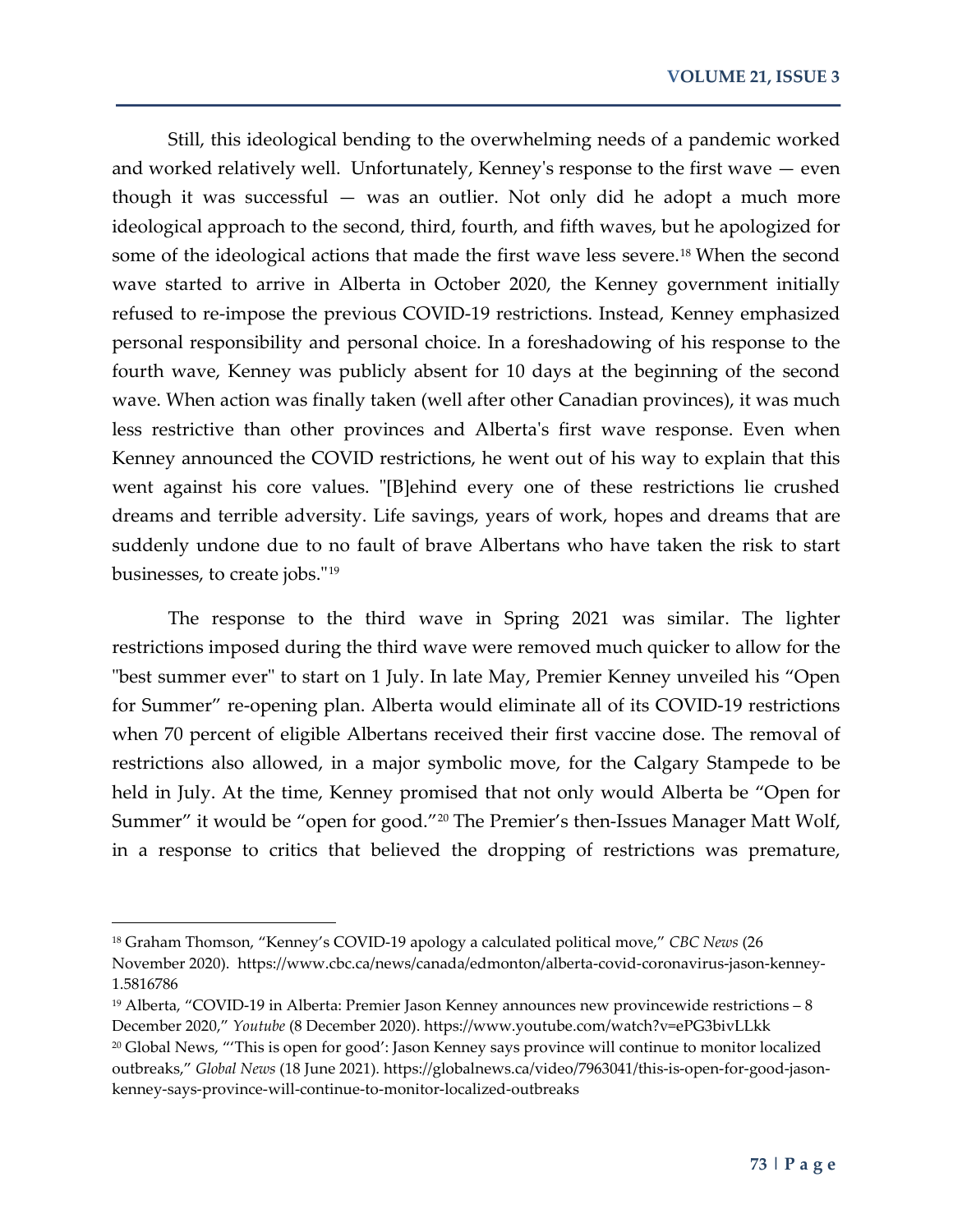Still, this ideological bending to the overwhelming needs of a pandemic worked and worked relatively well. Unfortunately, Kenney's response to the first wave — even though it was successful — was an outlier. Not only did he adopt a much more ideological approach to the second, third, fourth, and fifth waves, but he apologized for some of the ideological actions that made the first wave less severe.<sup>[18](#page-7-0)</sup> When the second wave started to arrive in Alberta in October 2020, the Kenney government initially refused to re-impose the previous COVID-19 restrictions. Instead, Kenney emphasized personal responsibility and personal choice. In a foreshadowing of his response to the fourth wave, Kenney was publicly absent for 10 days at the beginning of the second wave. When action was finally taken (well after other Canadian provinces), it was much less restrictive than other provinces and Alberta's first wave response. Even when Kenney announced the COVID restrictions, he went out of his way to explain that this went against his core values. "[B]ehind every one of these restrictions lie crushed dreams and terrible adversity. Life savings, years of work, hopes and dreams that are suddenly undone due to no fault of brave Albertans who have taken the risk to start businesses, to create jobs."[19](#page-7-1)

The response to the third wave in Spring 2021 was similar. The lighter restrictions imposed during the third wave were removed much quicker to allow for the "best summer ever" to start on 1 July. In late May, Premier Kenney unveiled his "Open for Summer" re-opening plan. Alberta would eliminate all of its COVID-19 restrictions when 70 percent of eligible Albertans received their first vaccine dose. The removal of restrictions also allowed, in a major symbolic move, for the Calgary Stampede to be held in July. At the time, Kenney promised that not only would Alberta be "Open for Summer" it would be "open for good.["20](#page-7-2) The Premier's then-Issues Manager Matt Wolf, in a response to critics that believed the dropping of restrictions was premature,

<span id="page-7-0"></span><sup>18</sup> Graham Thomson, "Kenney's COVID-19 apology a calculated political move," *CBC News* (26 November 2020). https://www.cbc.ca/news/canada/edmonton/alberta-covid-coronavirus-jason-kenney-1.5816786

<span id="page-7-2"></span><span id="page-7-1"></span><sup>&</sup>lt;sup>19</sup> Alberta, "COVID-19 in Alberta: Premier Jason Kenney announces new provincewide restrictions – 8 December 2020," *Youtube* (8 December 2020). https://www.youtube.com/watch?v=ePG3bivLLkk <sup>20</sup> Global News, "'This is open for good': Jason Kenney says province will continue to monitor localized outbreaks," *Global News* (18 June 2021). https://globalnews.ca/video/7963041/this-is-open-for-good-jasonkenney-says-province-will-continue-to-monitor-localized-outbreaks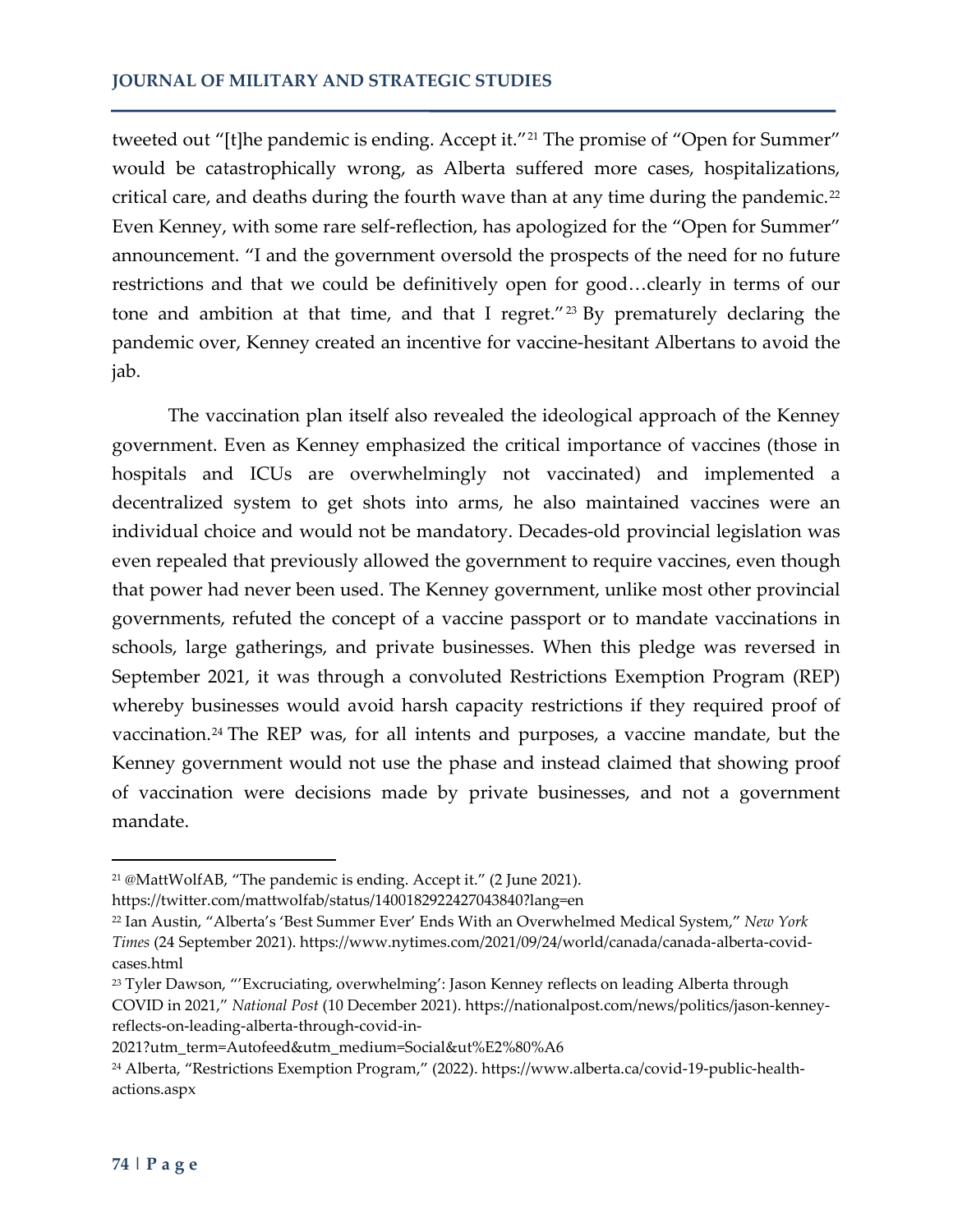#### **JOURNAL OF MILITARY AND STRATEGIC STUDIES**

tweeted out "[t]he pandemic is ending. Accept it."<sup>[21](#page-8-0)</sup> The promise of "Open for Summer" would be catastrophically wrong, as Alberta suffered more cases, hospitalizations, critical care, and deaths during the fourth wave than at any time during the pandemic.<sup>[22](#page-8-1)</sup> Even Kenney, with some rare self-reflection, has apologized for the "Open for Summer" announcement. "I and the government oversold the prospects of the need for no future restrictions and that we could be definitively open for good…clearly in terms of our tone and ambition at that time, and that I regret."<sup>[23](#page-8-2)</sup> By prematurely declaring the pandemic over, Kenney created an incentive for vaccine-hesitant Albertans to avoid the jab.

The vaccination plan itself also revealed the ideological approach of the Kenney government. Even as Kenney emphasized the critical importance of vaccines (those in hospitals and ICUs are overwhelmingly not vaccinated) and implemented a decentralized system to get shots into arms, he also maintained vaccines were an individual choice and would not be mandatory. Decades-old provincial legislation was even repealed that previously allowed the government to require vaccines, even though that power had never been used. The Kenney government, unlike most other provincial governments, refuted the concept of a vaccine passport or to mandate vaccinations in schools, large gatherings, and private businesses. When this pledge was reversed in September 2021, it was through a convoluted Restrictions Exemption Program (REP) whereby businesses would avoid harsh capacity restrictions if they required proof of vaccination.[24](#page-8-3) The REP was, for all intents and purposes, a vaccine mandate, but the Kenney government would not use the phase and instead claimed that showing proof of vaccination were decisions made by private businesses, and not a government mandate.

https://twitter.com/mattwolfab/status/1400182922427043840?lang=en

<span id="page-8-0"></span><sup>21</sup> @MattWolfAB, "The pandemic is ending. Accept it." (2 June 2021).

<span id="page-8-1"></span><sup>22</sup> Ian Austin, "Alberta's 'Best Summer Ever' Ends With an Overwhelmed Medical System," *New York Times* (24 September 2021). https://www.nytimes.com/2021/09/24/world/canada/canada-alberta-covidcases.html

<span id="page-8-2"></span><sup>23</sup> Tyler Dawson, "'Excruciating, overwhelming': Jason Kenney reflects on leading Alberta through COVID in 2021," *National Post* (10 December 2021). https://nationalpost.com/news/politics/jason-kenneyreflects-on-leading-alberta-through-covid-in-

<sup>2021?</sup>utm\_term=Autofeed&utm\_medium=Social&ut%E2%80%A6

<span id="page-8-3"></span><sup>24</sup> Alberta, "Restrictions Exemption Program," (2022). https://www.alberta.ca/covid-19-public-healthactions.aspx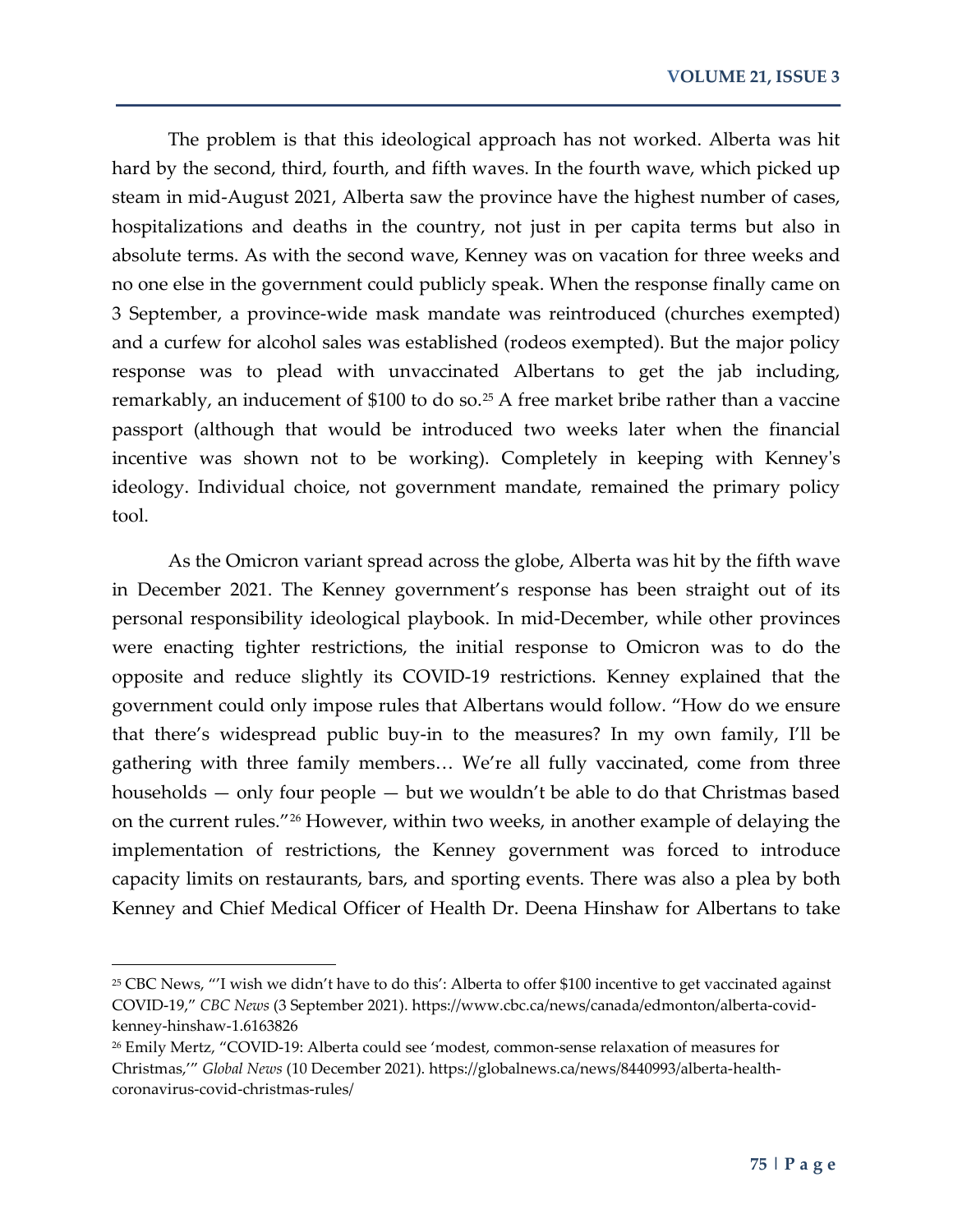The problem is that this ideological approach has not worked. Alberta was hit hard by the second, third, fourth, and fifth waves. In the fourth wave, which picked up steam in mid-August 2021, Alberta saw the province have the highest number of cases, hospitalizations and deaths in the country, not just in per capita terms but also in absolute terms. As with the second wave, Kenney was on vacation for three weeks and no one else in the government could publicly speak. When the response finally came on 3 September, a province-wide mask mandate was reintroduced (churches exempted) and a curfew for alcohol sales was established (rodeos exempted). But the major policy response was to plead with unvaccinated Albertans to get the jab including, remarkably, an inducement of \$100 to do so.<sup>[25](#page-9-0)</sup> A free market bribe rather than a vaccine passport (although that would be introduced two weeks later when the financial incentive was shown not to be working). Completely in keeping with Kenney's ideology. Individual choice, not government mandate, remained the primary policy tool.

As the Omicron variant spread across the globe, Alberta was hit by the fifth wave in December 2021. The Kenney government's response has been straight out of its personal responsibility ideological playbook. In mid-December, while other provinces were enacting tighter restrictions, the initial response to Omicron was to do the opposite and reduce slightly its COVID-19 restrictions. Kenney explained that the government could only impose rules that Albertans would follow. "How do we ensure that there's widespread public buy-in to the measures? In my own family, I'll be gathering with three family members… We're all fully vaccinated, come from three households — only four people — but we wouldn't be able to do that Christmas based on the current rules.["26](#page-9-1) However, within two weeks, in another example of delaying the implementation of restrictions, the Kenney government was forced to introduce capacity limits on restaurants, bars, and sporting events. There was also a plea by both Kenney and Chief Medical Officer of Health Dr. Deena Hinshaw for Albertans to take

<span id="page-9-0"></span><sup>25</sup> CBC News, "'I wish we didn't have to do this': Alberta to offer \$100 incentive to get vaccinated against COVID-19," *CBC News* (3 September 2021). https://www.cbc.ca/news/canada/edmonton/alberta-covidkenney-hinshaw-1.6163826

<span id="page-9-1"></span><sup>26</sup> Emily Mertz, "COVID-19: Alberta could see 'modest, common-sense relaxation of measures for Christmas,'" *Global News* (10 December 2021). https://globalnews.ca/news/8440993/alberta-healthcoronavirus-covid-christmas-rules/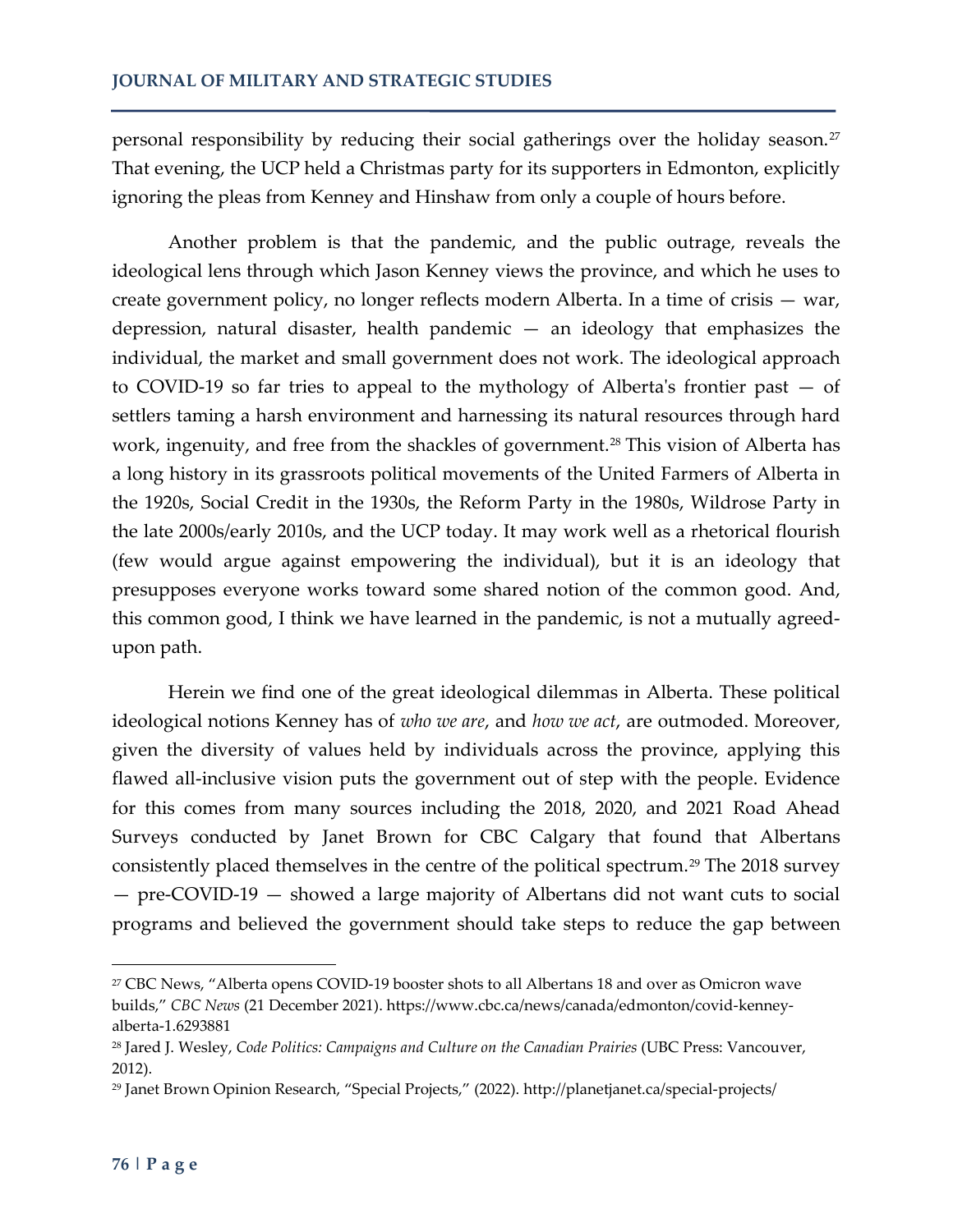personal responsibility by reducing their social gatherings over the holiday season.<sup>[27](#page-10-0)</sup> That evening, the UCP held a Christmas party for its supporters in Edmonton, explicitly ignoring the pleas from Kenney and Hinshaw from only a couple of hours before.

Another problem is that the pandemic, and the public outrage, reveals the ideological lens through which Jason Kenney views the province, and which he uses to create government policy, no longer reflects modern Alberta. In a time of crisis — war, depression, natural disaster, health pandemic — an ideology that emphasizes the individual, the market and small government does not work. The ideological approach to COVID-19 so far tries to appeal to the mythology of Alberta's frontier past — of settlers taming a harsh environment and harnessing its natural resources through hard work, ingenuity, and free from the shackles of government.<sup>[28](#page-10-1)</sup> This vision of Alberta has a long history in its grassroots political movements of the United Farmers of Alberta in the 1920s, Social Credit in the 1930s, the Reform Party in the 1980s, Wildrose Party in the late 2000s/early 2010s, and the UCP today. It may work well as a rhetorical flourish (few would argue against empowering the individual), but it is an ideology that presupposes everyone works toward some shared notion of the common good. And, this common good, I think we have learned in the pandemic, is not a mutually agreedupon path.

Herein we find one of the great ideological dilemmas in Alberta. These political ideological notions Kenney has of *who we are*, and *how we act*, are outmoded. Moreover, given the diversity of values held by individuals across the province, applying this flawed all-inclusive vision puts the government out of step with the people. Evidence for this comes from many sources including the 2018, 2020, and 2021 Road Ahead Surveys conducted by Janet Brown for CBC Calgary that found that Albertans consistently placed themselves in the centre of the political spectrum.<sup>[29](#page-10-2)</sup> The 2018 survey — pre-COVID-19 — showed a large majority of Albertans did not want cuts to social programs and believed the government should take steps to reduce the gap between

<span id="page-10-0"></span><sup>27</sup> CBC News, "Alberta opens COVID-19 booster shots to all Albertans 18 and over as Omicron wave builds," *CBC News* (21 December 2021). https://www.cbc.ca/news/canada/edmonton/covid-kenneyalberta-1.6293881

<span id="page-10-1"></span><sup>28</sup> Jared J. Wesley, *Code Politics: Campaigns and Culture on the Canadian Prairies* (UBC Press: Vancouver, 2012).

<span id="page-10-2"></span><sup>29</sup> Janet Brown Opinion Research, "Special Projects," (2022). http://planetjanet.ca/special-projects/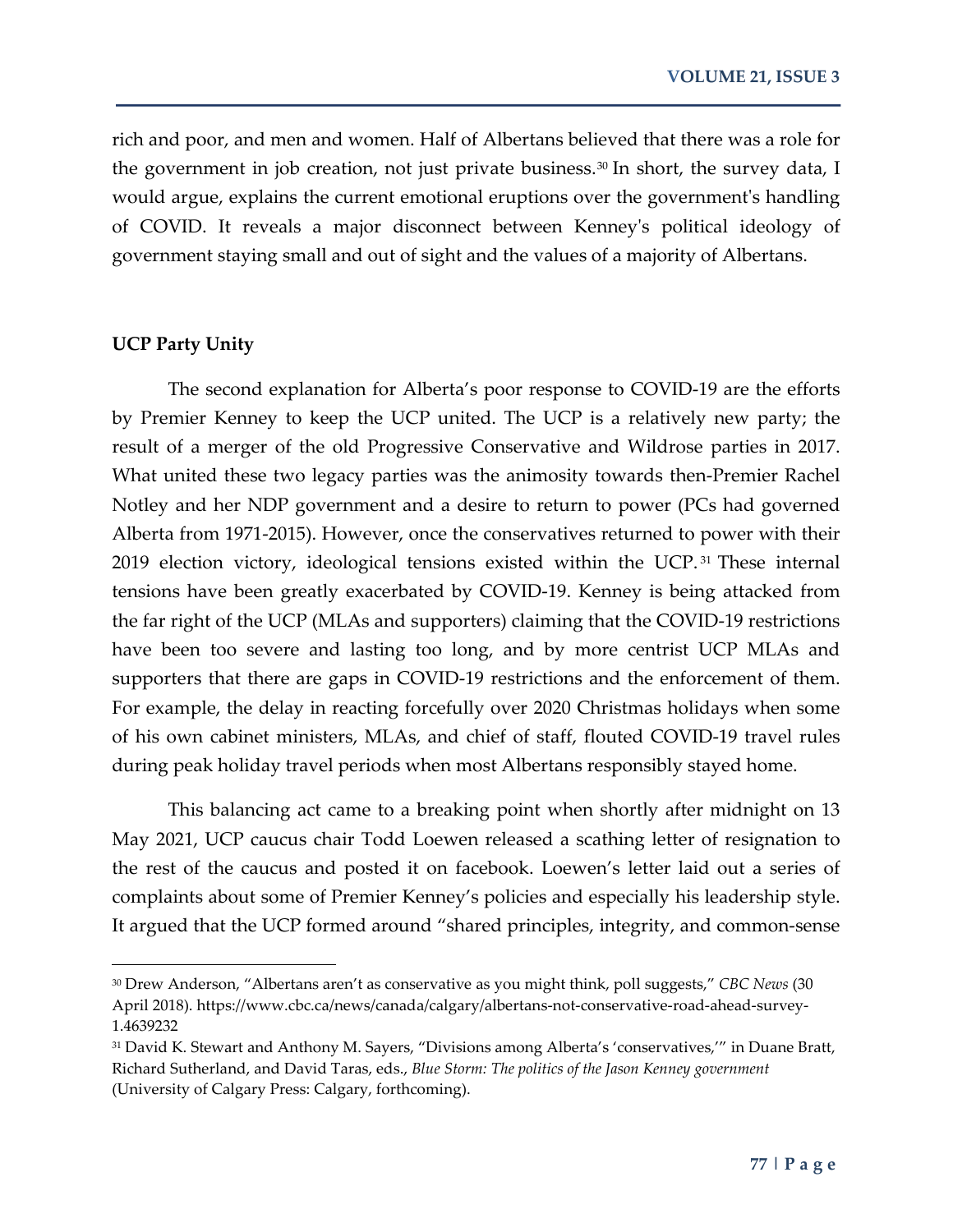rich and poor, and men and women. Half of Albertans believed that there was a role for the government in job creation, not just private business.<sup>[30](#page-11-0)</sup> In short, the survey data, I would argue, explains the current emotional eruptions over the government's handling of COVID. It reveals a major disconnect between Kenney's political ideology of government staying small and out of sight and the values of a majority of Albertans.

#### **UCP Party Unity**

l

The second explanation for Alberta's poor response to COVID-19 are the efforts by Premier Kenney to keep the UCP united. The UCP is a relatively new party; the result of a merger of the old Progressive Conservative and Wildrose parties in 2017. What united these two legacy parties was the animosity towards then-Premier Rachel Notley and her NDP government and a desire to return to power (PCs had governed Alberta from 1971-2015). However, once the conservatives returned to power with their 2019 election victory, ideological tensions existed within the UCP.<sup>[31](#page-11-1)</sup> These internal tensions have been greatly exacerbated by COVID-19. Kenney is being attacked from the far right of the UCP (MLAs and supporters) claiming that the COVID-19 restrictions have been too severe and lasting too long, and by more centrist UCP MLAs and supporters that there are gaps in COVID-19 restrictions and the enforcement of them. For example, the delay in reacting forcefully over 2020 Christmas holidays when some of his own cabinet ministers, MLAs, and chief of staff, flouted COVID-19 travel rules during peak holiday travel periods when most Albertans responsibly stayed home.

This balancing act came to a breaking point when shortly after midnight on 13 May 2021, UCP caucus chair Todd Loewen released a scathing letter of resignation to the rest of the caucus and posted it on facebook. Loewen's letter laid out a series of complaints about some of Premier Kenney's policies and especially his leadership style. It argued that the UCP formed around "shared principles, integrity, and common-sense

<span id="page-11-0"></span><sup>30</sup> Drew Anderson, "Albertans aren't as conservative as you might think, poll suggests," *CBC News* (30 April 2018). https://www.cbc.ca/news/canada/calgary/albertans-not-conservative-road-ahead-survey-1.4639232

<span id="page-11-1"></span><sup>31</sup> David K. Stewart and Anthony M. Sayers, "Divisions among Alberta's 'conservatives,'" in Duane Bratt, Richard Sutherland, and David Taras, eds., *Blue Storm: The politics of the Jason Kenney government* (University of Calgary Press: Calgary, forthcoming).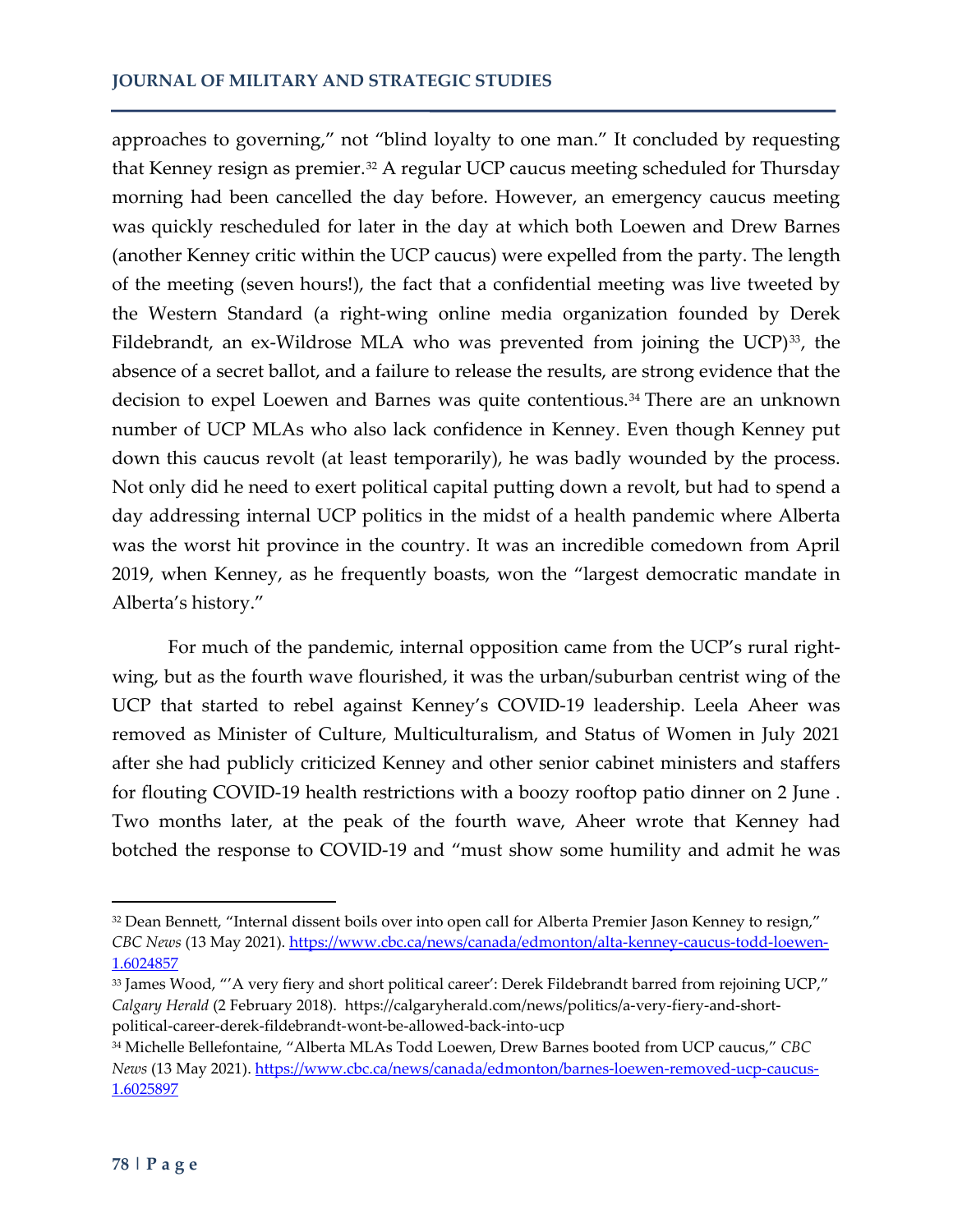approaches to governing," not "blind loyalty to one man." It concluded by requesting that Kenney resign as premier.<sup>[32](#page-12-0)</sup> A regular UCP caucus meeting scheduled for Thursday morning had been cancelled the day before. However, an emergency caucus meeting was quickly rescheduled for later in the day at which both Loewen and Drew Barnes (another Kenney critic within the UCP caucus) were expelled from the party. The length of the meeting (seven hours!), the fact that a confidential meeting was live tweeted by the Western Standard (a right-wing online media organization founded by Derek Fildebrandt, an ex-Wildrose MLA who was prevented from joining the UCP)<sup>[33](#page-12-1)</sup>, the absence of a secret ballot, and a failure to release the results, are strong evidence that the decision to expel Loewen and Barnes was quite contentious.<sup>[34](#page-12-2)</sup> There are an unknown number of UCP MLAs who also lack confidence in Kenney. Even though Kenney put down this caucus revolt (at least temporarily), he was badly wounded by the process. Not only did he need to exert political capital putting down a revolt, but had to spend a day addressing internal UCP politics in the midst of a health pandemic where Alberta was the worst hit province in the country. It was an incredible comedown from April 2019, when Kenney, as he frequently boasts, won the "largest democratic mandate in Alberta's history."

For much of the pandemic, internal opposition came from the UCP's rural rightwing, but as the fourth wave flourished, it was the urban/suburban centrist wing of the UCP that started to rebel against Kenney's COVID-19 leadership. Leela Aheer was removed as Minister of Culture, Multiculturalism, and Status of Women in July 2021 after she had publicly criticized Kenney and other senior cabinet ministers and staffers for flouting COVID-19 health restrictions with a boozy rooftop patio dinner on 2 June . Two months later, at the peak of the fourth wave, Aheer wrote that Kenney had botched the response to COVID-19 and "must show some humility and admit he was

<span id="page-12-0"></span><sup>&</sup>lt;sup>32</sup> Dean Bennett, "Internal dissent boils over into open call for Alberta Premier Jason Kenney to resign," *CBC News* (13 May 2021). [https://www.cbc.ca/news/canada/edmonton/alta-kenney-caucus-todd-loewen-](https://www.cbc.ca/news/canada/edmonton/alta-kenney-caucus-todd-loewen-1.6024857)[1.6024857](https://www.cbc.ca/news/canada/edmonton/alta-kenney-caucus-todd-loewen-1.6024857) 

<span id="page-12-1"></span><sup>33</sup> James Wood, "'A very fiery and short political career': Derek Fildebrandt barred from rejoining UCP," *Calgary Herald* (2 February 2018). https://calgaryherald.com/news/politics/a-very-fiery-and-shortpolitical-career-derek-fildebrandt-wont-be-allowed-back-into-ucp

<span id="page-12-2"></span><sup>34</sup> Michelle Bellefontaine, "Alberta MLAs Todd Loewen, Drew Barnes booted from UCP caucus," *CBC News* (13 May 2021). [https://www.cbc.ca/news/canada/edmonton/barnes-loewen-removed-ucp-caucus-](https://www.cbc.ca/news/canada/edmonton/barnes-loewen-removed-ucp-caucus-1.6025897)[1.6025897](https://www.cbc.ca/news/canada/edmonton/barnes-loewen-removed-ucp-caucus-1.6025897)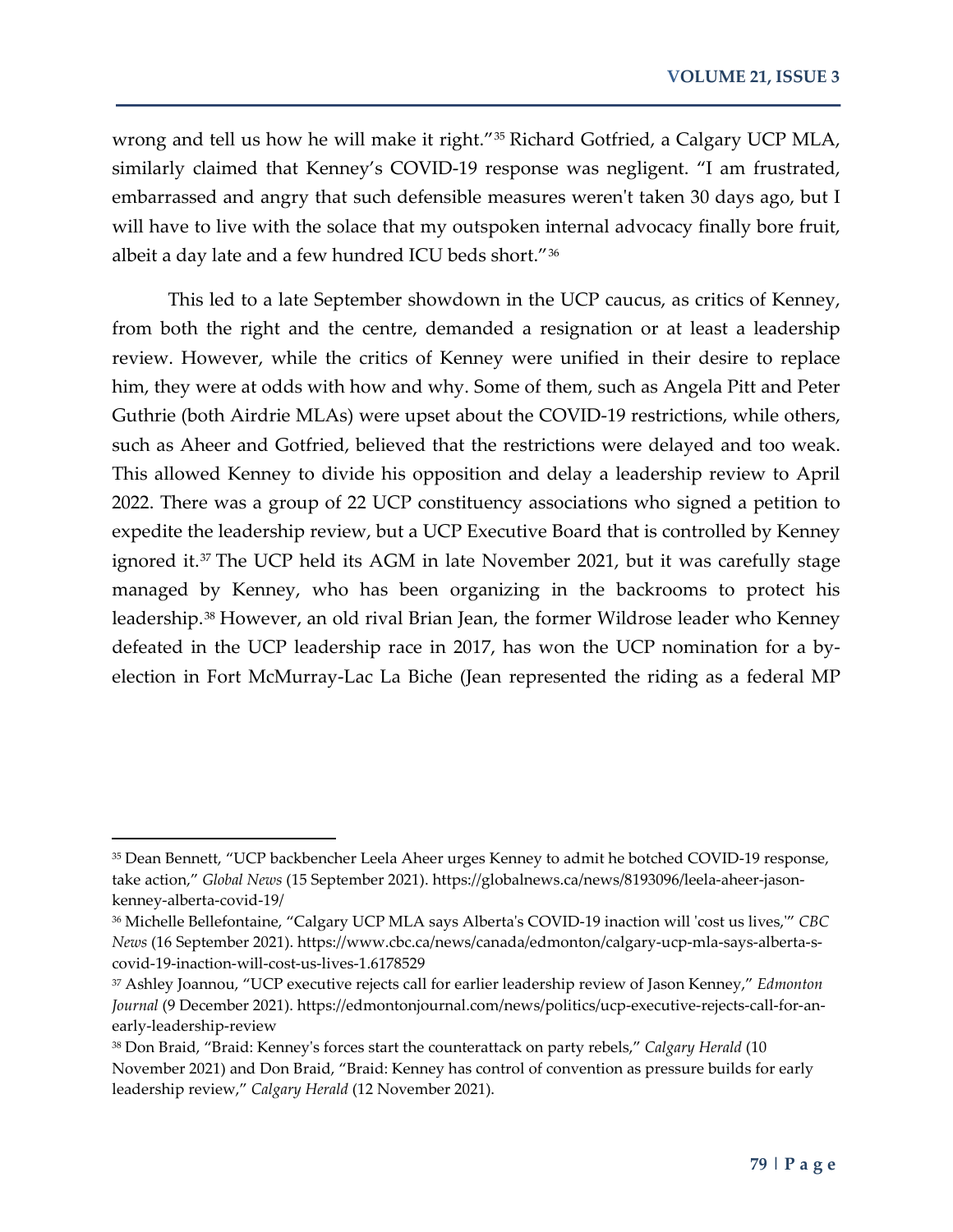wrong and tell us how he will make it right."<sup>[35](#page-13-0)</sup> Richard Gotfried, a Calgary UCP MLA, similarly claimed that Kenney's COVID-19 response was negligent. "I am frustrated, embarrassed and angry that such defensible measures weren't taken 30 days ago, but I will have to live with the solace that my outspoken internal advocacy finally bore fruit, albeit a day late and a few hundred ICU beds short."[36](#page-13-1)

This led to a late September showdown in the UCP caucus, as critics of Kenney, from both the right and the centre, demanded a resignation or at least a leadership review. However, while the critics of Kenney were unified in their desire to replace him, they were at odds with how and why. Some of them, such as Angela Pitt and Peter Guthrie (both Airdrie MLAs) were upset about the COVID-19 restrictions, while others, such as Aheer and Gotfried, believed that the restrictions were delayed and too weak. This allowed Kenney to divide his opposition and delay a leadership review to April 2022. There was a group of 22 UCP constituency associations who signed a petition to expedite the leadership review, but a UCP Executive Board that is controlled by Kenney ignored it.<sup>[37](#page-13-2)</sup> The UCP held its AGM in late November 2021, but it was carefully stage managed by Kenney, who has been organizing in the backrooms to protect his leadership.[38](#page-13-3) However, an old rival Brian Jean, the former Wildrose leader who Kenney defeated in the UCP leadership race in 2017, has won the UCP nomination for a byelection in Fort McMurray-Lac La Biche (Jean represented the riding as a federal MP

<span id="page-13-0"></span><sup>35</sup> Dean Bennett, "UCP backbencher Leela Aheer urges Kenney to admit he botched COVID-19 response, take action," *Global News* (15 September 2021). https://globalnews.ca/news/8193096/leela-aheer-jasonkenney-alberta-covid-19/

<span id="page-13-1"></span><sup>36</sup> Michelle Bellefontaine, "Calgary UCP MLA says Alberta's COVID-19 inaction will 'cost us lives,'" *CBC News* (16 September 2021). https://www.cbc.ca/news/canada/edmonton/calgary-ucp-mla-says-alberta-scovid-19-inaction-will-cost-us-lives-1.6178529

<span id="page-13-2"></span><sup>37</sup> Ashley Joannou, "UCP executive rejects call for earlier leadership review of Jason Kenney," *Edmonton Journal* (9 December 2021). https://edmontonjournal.com/news/politics/ucp-executive-rejects-call-for-anearly-leadership-review

<span id="page-13-3"></span><sup>38</sup> Don Braid, "Braid: Kenney's forces start the counterattack on party rebels," *Calgary Herald* (10 November 2021) and Don Braid, "Braid: Kenney has control of convention as pressure builds for early leadership review," *Calgary Herald* (12 November 2021).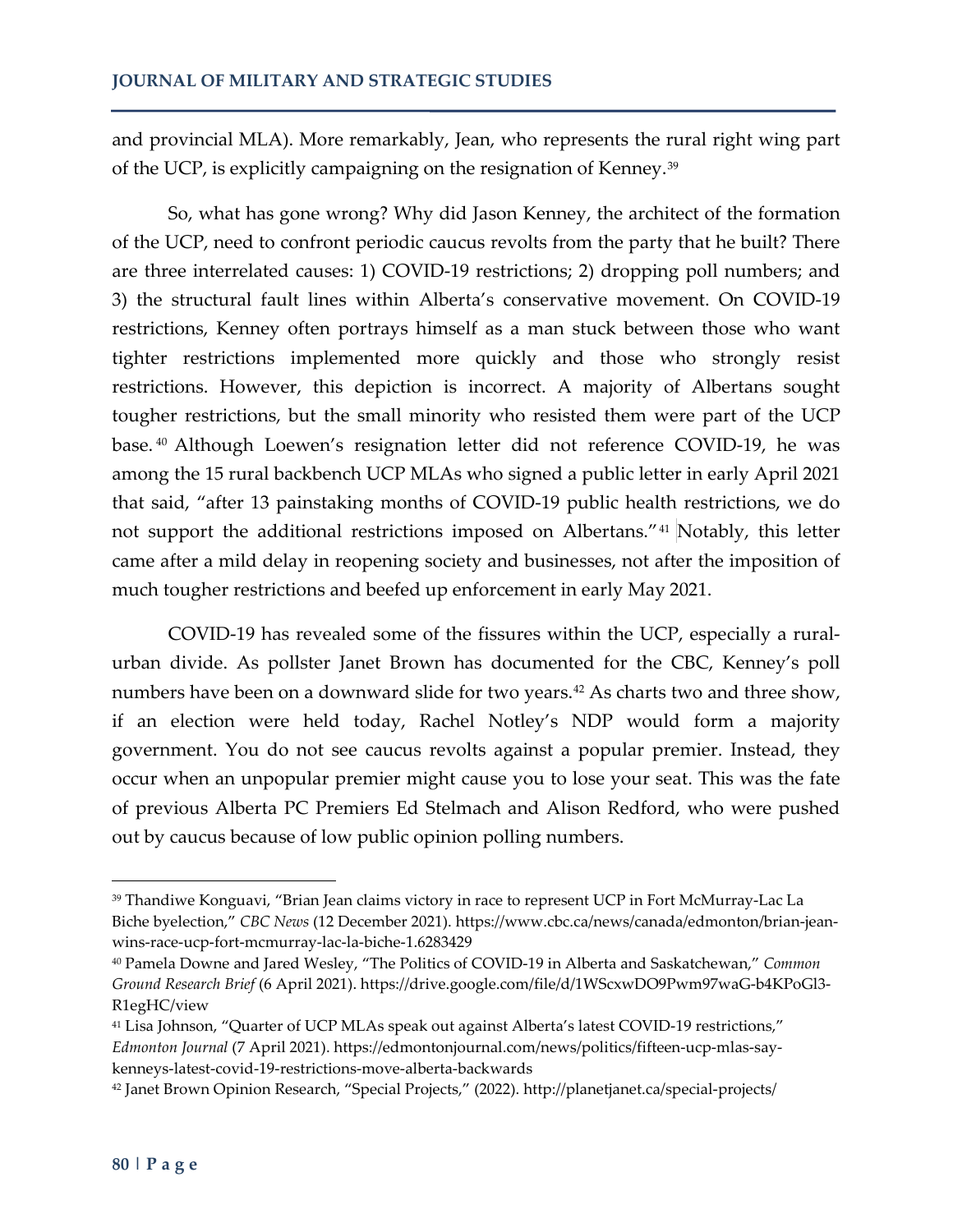and provincial MLA). More remarkably, Jean, who represents the rural right wing part of the UCP, is explicitly campaigning on the resignation of Kenney.<sup>[39](#page-14-0)</sup>

So, what has gone wrong? Why did Jason Kenney, the architect of the formation of the UCP, need to confront periodic caucus revolts from the party that he built? There are three interrelated causes: 1) COVID-19 restrictions; 2) dropping poll numbers; and 3) the structural fault lines within Alberta's conservative movement. On COVID-19 restrictions, Kenney often portrays himself as a man stuck between those who want tighter restrictions implemented more quickly and those who strongly resist restrictions. However, this depiction is incorrect. A majority of Albertans sought tougher restrictions, but the small minority who resisted them were part of the UCP base. [40](#page-14-1) Although Loewen's resignation letter did not reference COVID-19, he was among the 15 rural backbench UCP MLAs who signed a public letter in early April 2021 that said, "after 13 painstaking months of COVID-19 public health restrictions, we do not support the additional restrictions imposed on Albertans."[41](#page-14-2) Notably, this letter came after a mild delay in reopening society and businesses, not after the imposition of much tougher restrictions and beefed up enforcement in early May 2021.

COVID-19 has revealed some of the fissures within the UCP, especially a ruralurban divide. As pollster Janet Brown has documented for the CBC, Kenney's poll numbers have been on a downward slide for two years.<sup>[42](#page-14-3)</sup> As charts two and three show, if an election were held today, Rachel Notley's NDP would form a majority government. You do not see caucus revolts against a popular premier. Instead, they occur when an unpopular premier might cause you to lose your seat. This was the fate of previous Alberta PC Premiers Ed Stelmach and Alison Redford, who were pushed out by caucus because of low public opinion polling numbers.

<span id="page-14-0"></span><sup>39</sup> Thandiwe Konguavi, "Brian Jean claims victory in race to represent UCP in Fort McMurray-Lac La Biche byelection," *CBC News* (12 December 2021). https://www.cbc.ca/news/canada/edmonton/brian-jeanwins-race-ucp-fort-mcmurray-lac-la-biche-1.6283429

<span id="page-14-1"></span><sup>40</sup> Pamela Downe and Jared Wesley, "The Politics of COVID-19 in Alberta and Saskatchewan," *Common Ground Research Brief* (6 April 2021). https://drive.google.com/file/d/1WScxwDO9Pwm97waG-b4KPoGl3- R1egHC/view

<span id="page-14-2"></span><sup>41</sup> Lisa Johnson, "Quarter of UCP MLAs speak out against Alberta's latest COVID-19 restrictions," *Edmonton Journal* (7 April 2021). https://edmontonjournal.com/news/politics/fifteen-ucp-mlas-saykenneys-latest-covid-19-restrictions-move-alberta-backwards

<span id="page-14-3"></span><sup>42</sup> Janet Brown Opinion Research, "Special Projects," (2022). http://planetjanet.ca/special-projects/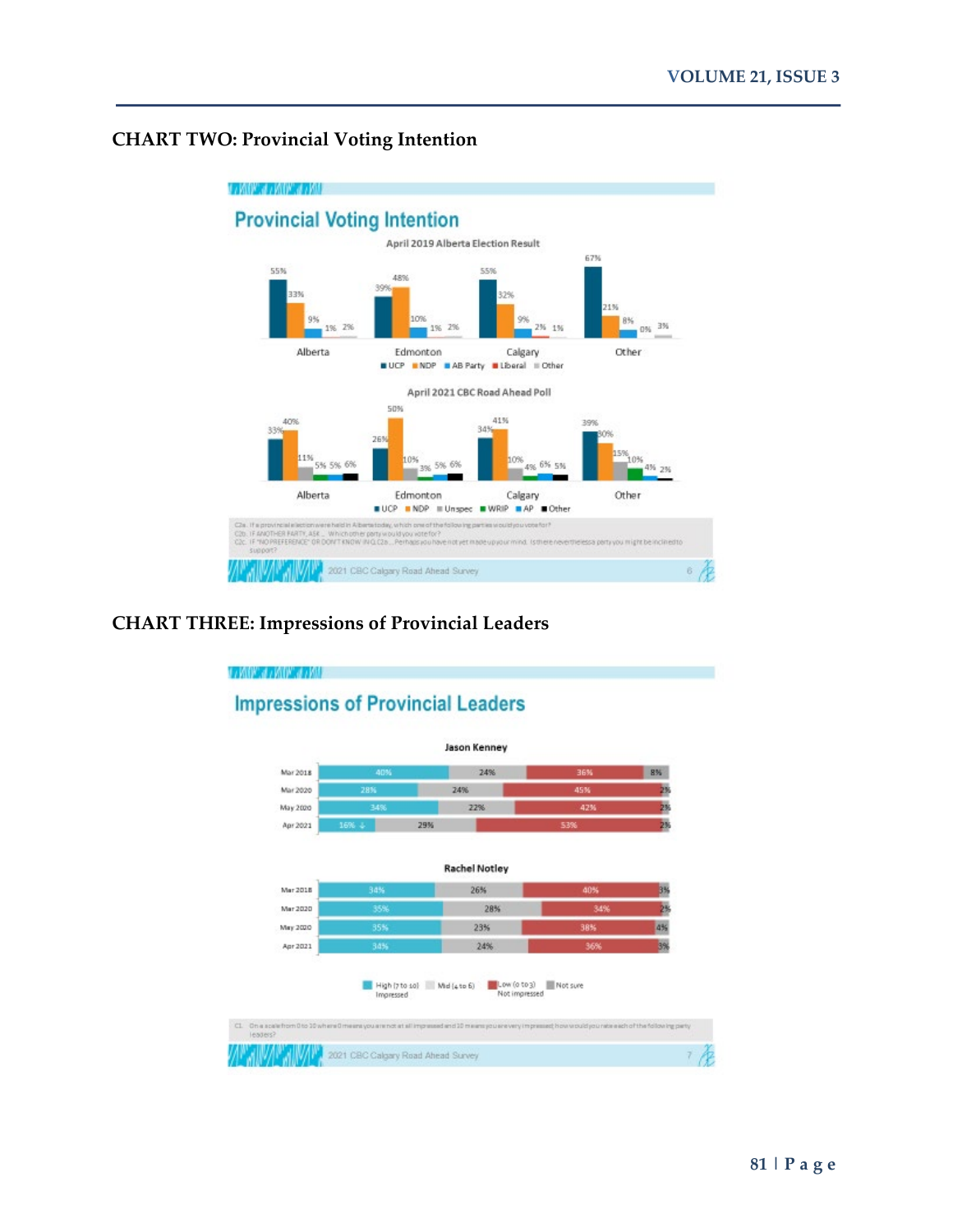## **CHART TWO: Provincial Voting Intention**



#### **CHART THREE: Impressions of Provincial Leaders**

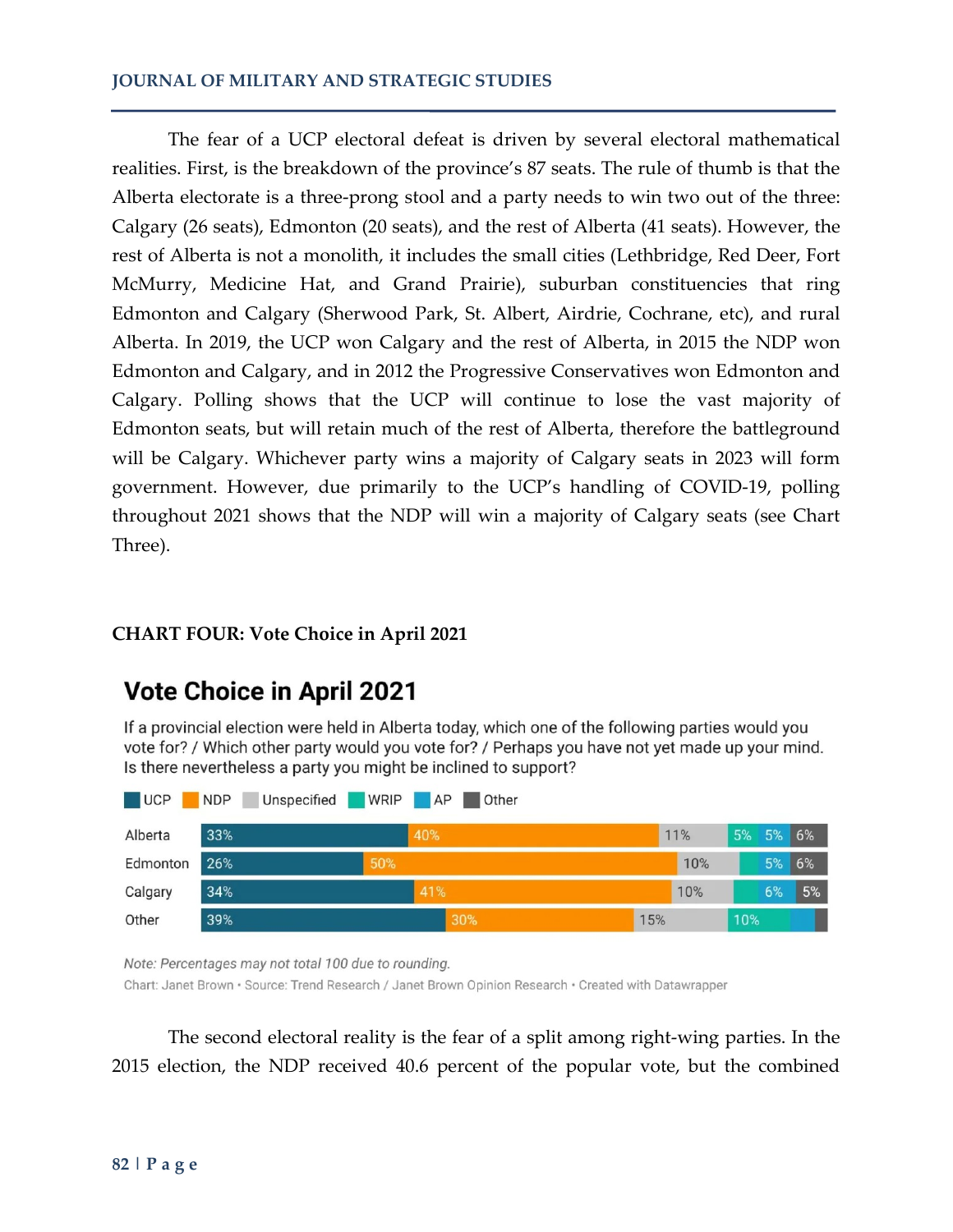The fear of a UCP electoral defeat is driven by several electoral mathematical realities. First, is the breakdown of the province's 87 seats. The rule of thumb is that the Alberta electorate is a three-prong stool and a party needs to win two out of the three: Calgary (26 seats), Edmonton (20 seats), and the rest of Alberta (41 seats). However, the rest of Alberta is not a monolith, it includes the small cities (Lethbridge, Red Deer, Fort McMurry, Medicine Hat, and Grand Prairie), suburban constituencies that ring Edmonton and Calgary (Sherwood Park, St. Albert, Airdrie, Cochrane, etc), and rural Alberta. In 2019, the UCP won Calgary and the rest of Alberta, in 2015 the NDP won Edmonton and Calgary, and in 2012 the Progressive Conservatives won Edmonton and Calgary. Polling shows that the UCP will continue to lose the vast majority of Edmonton seats, but will retain much of the rest of Alberta, therefore the battleground will be Calgary. Whichever party wins a majority of Calgary seats in 2023 will form government. However, due primarily to the UCP's handling of COVID-19, polling throughout 2021 shows that the NDP will win a majority of Calgary seats (see Chart Three).

### **CHART FOUR: Vote Choice in April 2021**

## **Vote Choice in April 2021**

If a provincial election were held in Alberta today, which one of the following parties would you vote for? / Which other party would you vote for? / Perhaps you have not yet made up your mind. Is there nevertheless a party you might be inclined to support?

| <b>UCP</b> | <b>NDP</b> | Unspecified | WRIP AP |     | <b>Other</b> |     |     |     |       |    |
|------------|------------|-------------|---------|-----|--------------|-----|-----|-----|-------|----|
| Alberta    | 33%        |             |         | 40% |              |     | 11% | 5%  | 5% 6% |    |
| Edmonton   | 26%        |             | 50%     |     |              |     | 10% |     | 5%    | 6% |
| Calgary    | 34%        |             |         | 41% |              |     | 10% |     | 6%    | 5% |
| Other      | 39%        |             |         |     | 30%          | 15% |     | 10% |       |    |

Note: Percentages may not total 100 due to rounding.

Chart: Janet Brown · Source: Trend Research / Janet Brown Opinion Research · Created with Datawrapper

The second electoral reality is the fear of a split among right-wing parties. In the 2015 election, the NDP received 40.6 percent of the popular vote, but the combined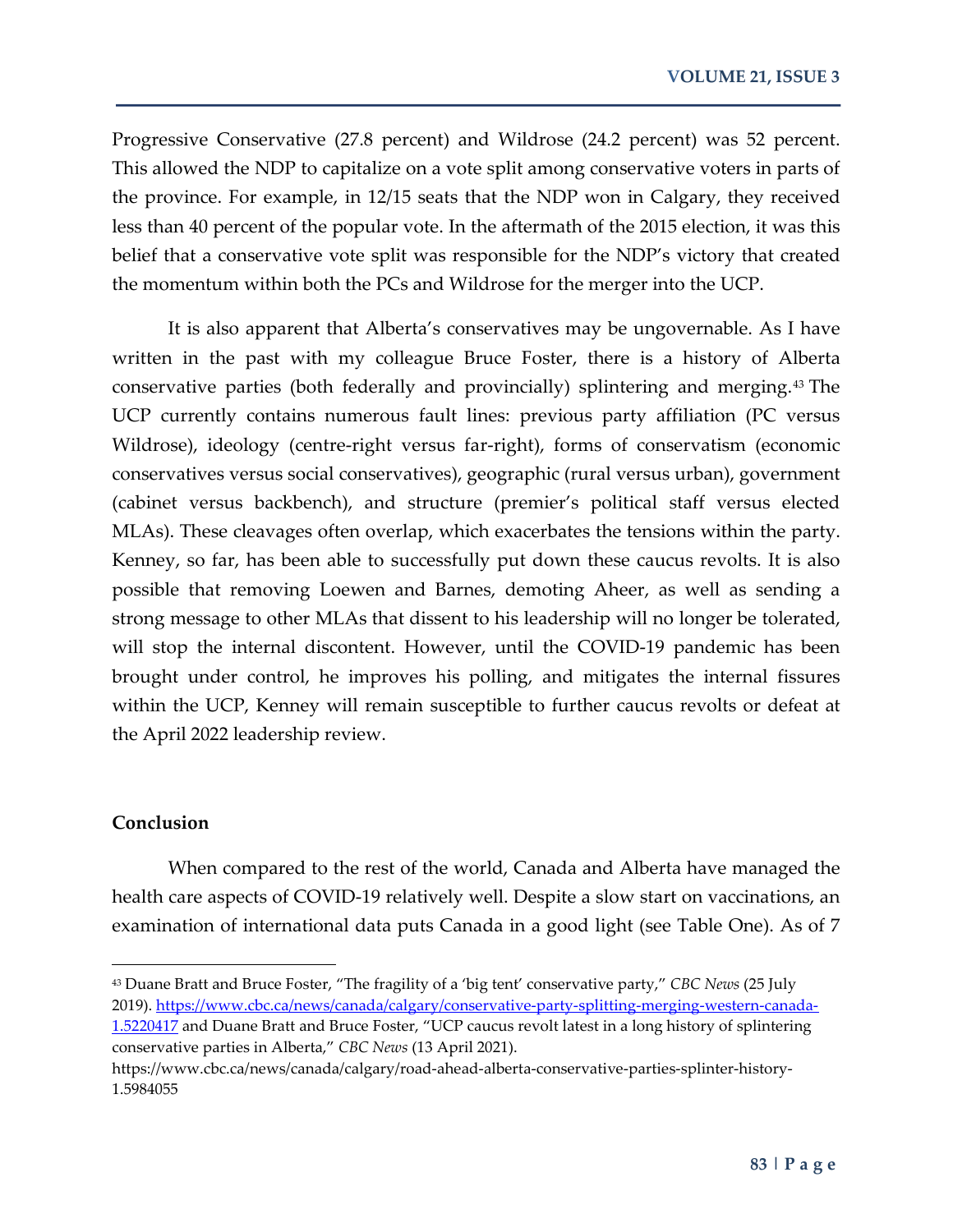Progressive Conservative (27.8 percent) and Wildrose (24.2 percent) was 52 percent. This allowed the NDP to capitalize on a vote split among conservative voters in parts of the province. For example, in 12/15 seats that the NDP won in Calgary, they received less than 40 percent of the popular vote. In the aftermath of the 2015 election, it was this belief that a conservative vote split was responsible for the NDP's victory that created the momentum within both the PCs and Wildrose for the merger into the UCP.

It is also apparent that Alberta's conservatives may be ungovernable. As I have written in the past with my colleague Bruce Foster, there is a history of Alberta conservative parties (both federally and provincially) splintering and merging.[43](#page-17-0) The UCP currently contains numerous fault lines: previous party affiliation (PC versus Wildrose), ideology (centre-right versus far-right), forms of conservatism (economic conservatives versus social conservatives), geographic (rural versus urban), government (cabinet versus backbench), and structure (premier's political staff versus elected MLAs). These cleavages often overlap, which exacerbates the tensions within the party. Kenney, so far, has been able to successfully put down these caucus revolts. It is also possible that removing Loewen and Barnes, demoting Aheer, as well as sending a strong message to other MLAs that dissent to his leadership will no longer be tolerated, will stop the internal discontent. However, until the COVID-19 pandemic has been brought under control, he improves his polling, and mitigates the internal fissures within the UCP, Kenney will remain susceptible to further caucus revolts or defeat at the April 2022 leadership review.

#### **Conclusion**

l

When compared to the rest of the world, Canada and Alberta have managed the health care aspects of COVID-19 relatively well. Despite a slow start on vaccinations, an examination of international data puts Canada in a good light (see Table One). As of 7

<span id="page-17-0"></span><sup>43</sup> Duane Bratt and Bruce Foster, "The fragility of a 'big tent' conservative party," *CBC News* (25 July 2019). [https://www.cbc.ca/news/canada/calgary/conservative-party-splitting-merging-western-canada-](https://www.cbc.ca/news/canada/calgary/conservative-party-splitting-merging-western-canada-1.5220417)[1.5220417](https://www.cbc.ca/news/canada/calgary/conservative-party-splitting-merging-western-canada-1.5220417) and Duane Bratt and Bruce Foster, "UCP caucus revolt latest in a long history of splintering conservative parties in Alberta," *CBC News* (13 April 2021).

https://www.cbc.ca/news/canada/calgary/road-ahead-alberta-conservative-parties-splinter-history-1.5984055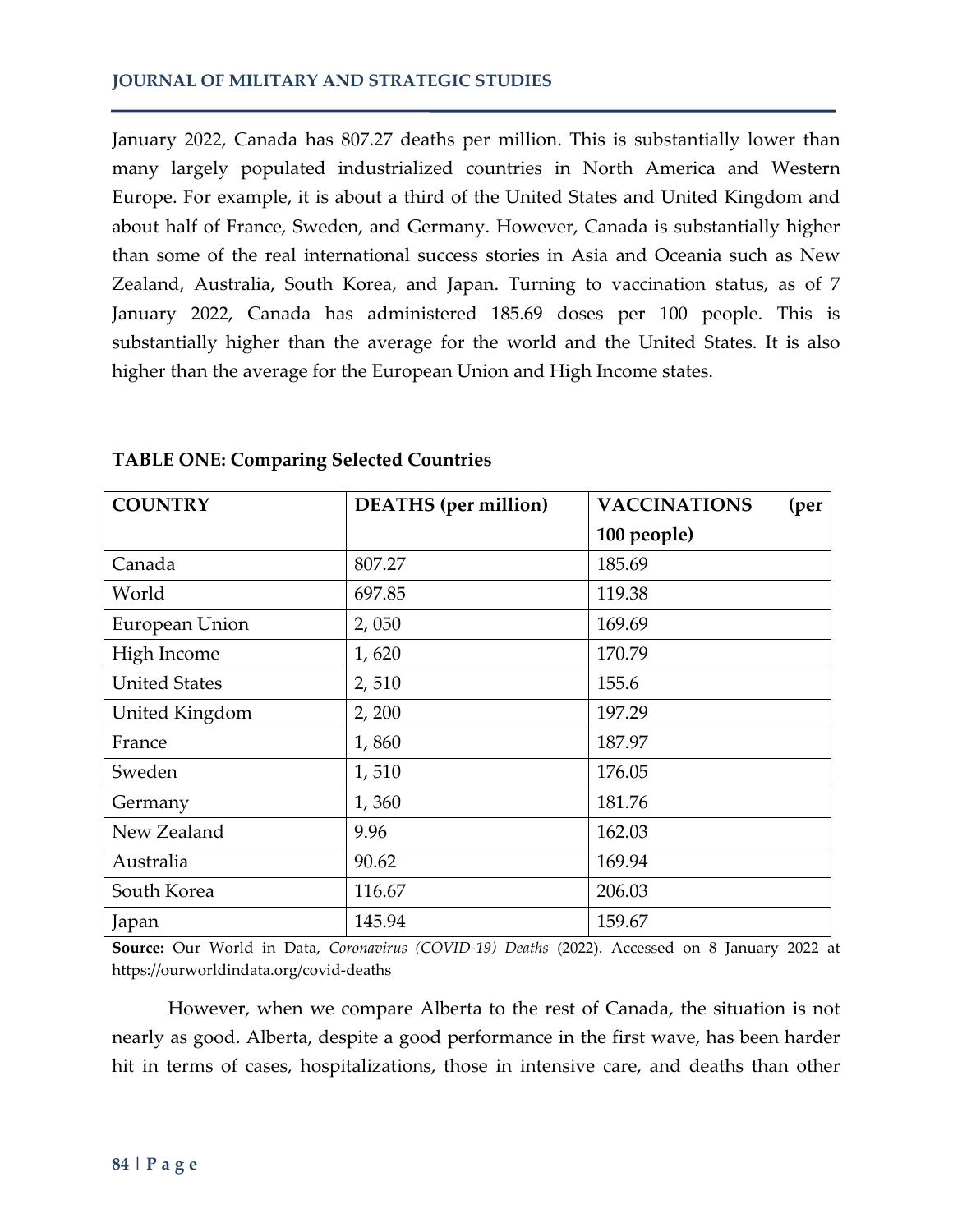January 2022, Canada has 807.27 deaths per million. This is substantially lower than many largely populated industrialized countries in North America and Western Europe. For example, it is about a third of the United States and United Kingdom and about half of France, Sweden, and Germany. However, Canada is substantially higher than some of the real international success stories in Asia and Oceania such as New Zealand, Australia, South Korea, and Japan. Turning to vaccination status, as of 7 January 2022, Canada has administered 185.69 doses per 100 people. This is substantially higher than the average for the world and the United States. It is also higher than the average for the European Union and High Income states.

| <b>COUNTRY</b>       | <b>DEATHS</b> (per million) | <b>VACCINATIONS</b><br>(per |
|----------------------|-----------------------------|-----------------------------|
|                      |                             | 100 people)                 |
| Canada               | 807.27                      | 185.69                      |
| World                | 697.85                      | 119.38                      |
| European Union       | 2,050                       | 169.69                      |
| High Income          | 1,620                       | 170.79                      |
| <b>United States</b> | 2,510                       | 155.6                       |
| United Kingdom       | 2, 200                      | 197.29                      |
| France               | 1,860                       | 187.97                      |
| Sweden               | 1,510                       | 176.05                      |
| Germany              | 1,360                       | 181.76                      |
| New Zealand          | 9.96                        | 162.03                      |
| Australia            | 90.62                       | 169.94                      |
| South Korea          | 116.67                      | 206.03                      |
| Japan                | 145.94                      | 159.67                      |

**TABLE ONE: Comparing Selected Countries**

**Source:** Our World in Data, *Coronavirus (COVID-19) Deaths* (2022). Accessed on 8 January 2022 at https://ourworldindata.org/covid-deaths

However, when we compare Alberta to the rest of Canada, the situation is not nearly as good. Alberta, despite a good performance in the first wave, has been harder hit in terms of cases, hospitalizations, those in intensive care, and deaths than other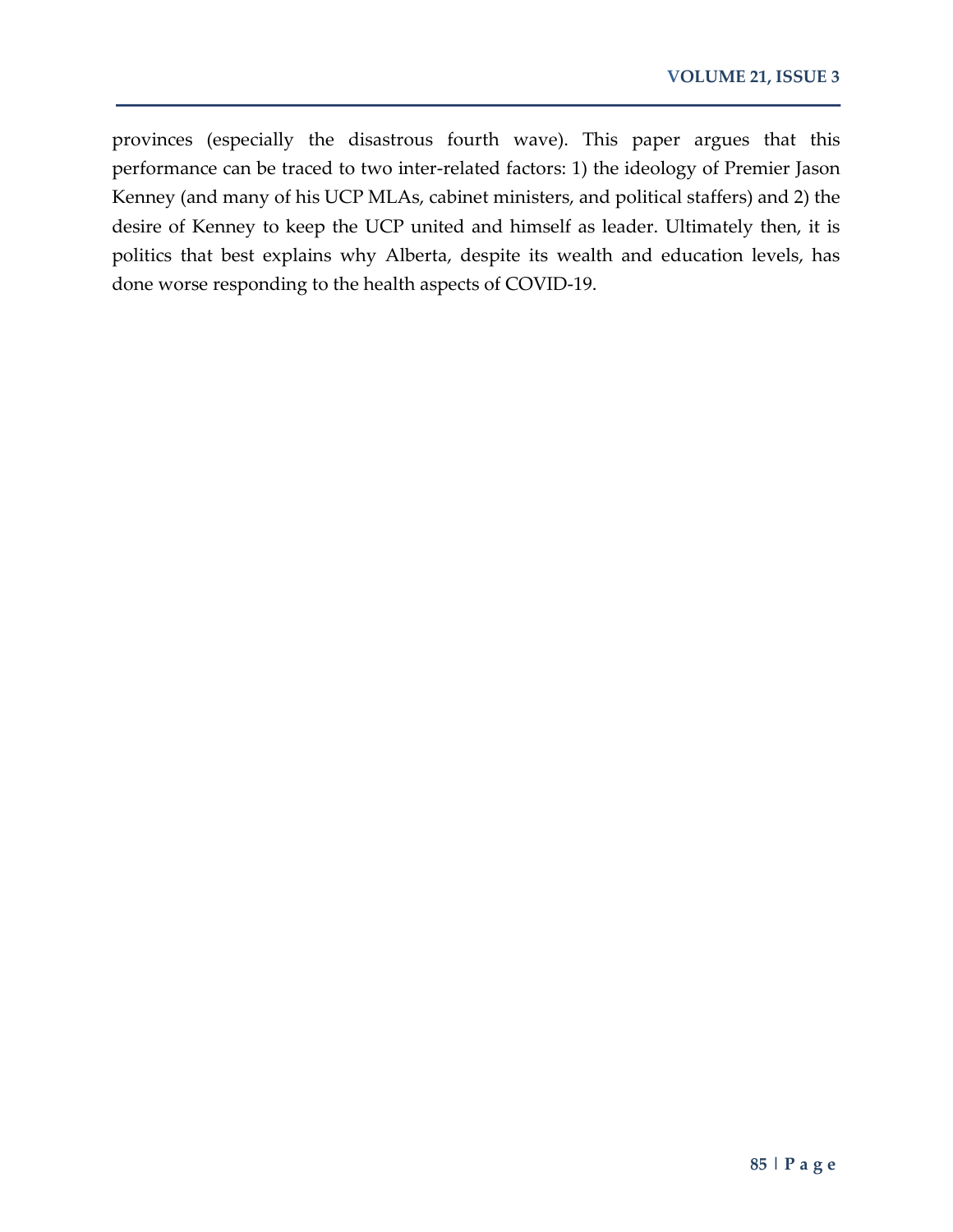provinces (especially the disastrous fourth wave). This paper argues that this performance can be traced to two inter-related factors: 1) the ideology of Premier Jason Kenney (and many of his UCP MLAs, cabinet ministers, and political staffers) and 2) the desire of Kenney to keep the UCP united and himself as leader. Ultimately then, it is politics that best explains why Alberta, despite its wealth and education levels, has done worse responding to the health aspects of COVID-19.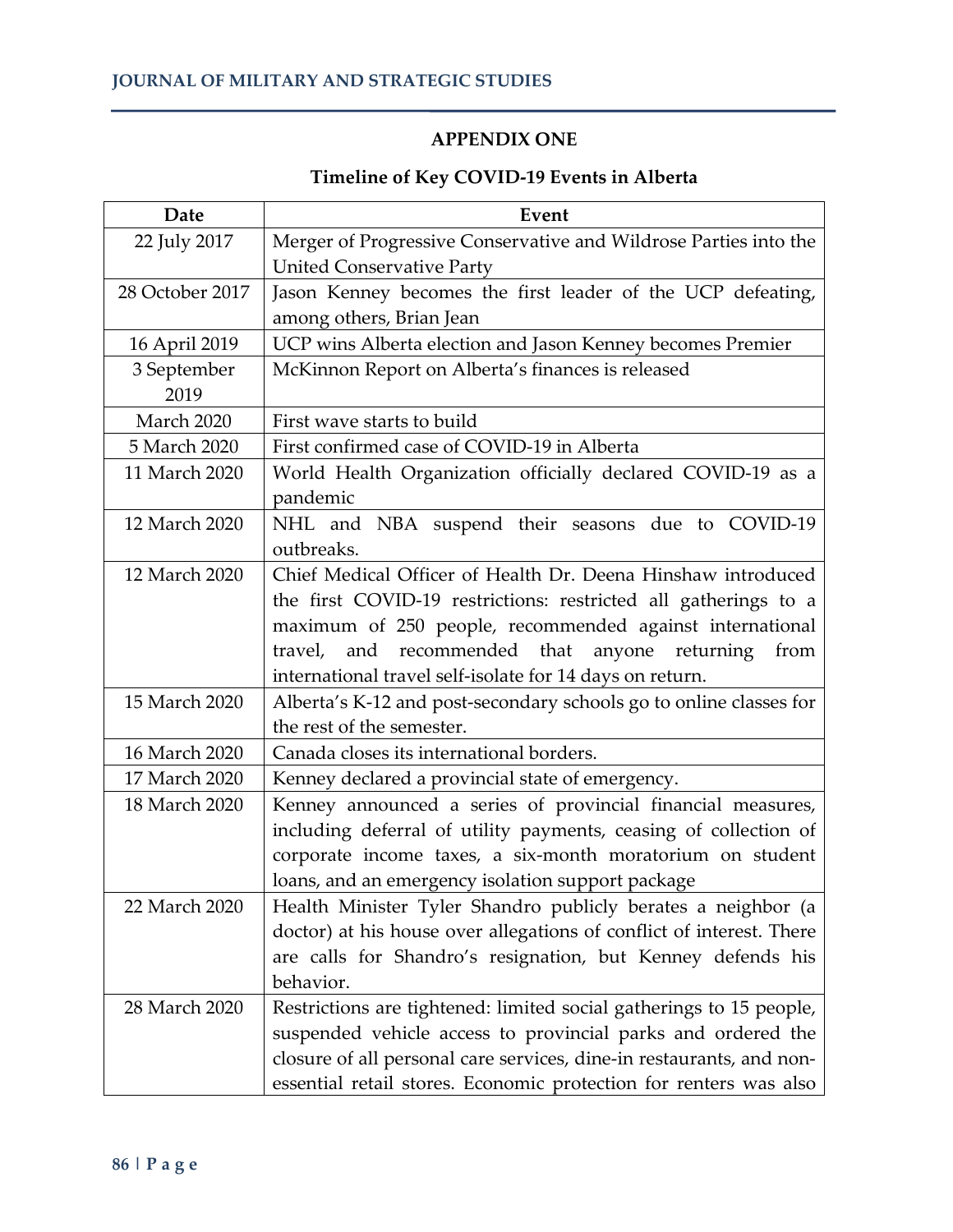## **APPENDIX ONE**

## **Timeline of Key COVID-19 Events in Alberta**

| Date            | Event                                                                |
|-----------------|----------------------------------------------------------------------|
| 22 July 2017    | Merger of Progressive Conservative and Wildrose Parties into the     |
|                 | <b>United Conservative Party</b>                                     |
| 28 October 2017 | Jason Kenney becomes the first leader of the UCP defeating,          |
|                 | among others, Brian Jean                                             |
| 16 April 2019   | UCP wins Alberta election and Jason Kenney becomes Premier           |
| 3 September     | McKinnon Report on Alberta's finances is released                    |
| 2019            |                                                                      |
| March 2020      | First wave starts to build                                           |
| 5 March 2020    | First confirmed case of COVID-19 in Alberta                          |
| 11 March 2020   | World Health Organization officially declared COVID-19 as a          |
|                 | pandemic                                                             |
| 12 March 2020   | NHL and NBA suspend their seasons due to COVID-19                    |
|                 | outbreaks.                                                           |
| 12 March 2020   | Chief Medical Officer of Health Dr. Deena Hinshaw introduced         |
|                 | the first COVID-19 restrictions: restricted all gatherings to a      |
|                 | maximum of 250 people, recommended against international             |
|                 | recommended<br>that<br>and<br>anyone<br>returning<br>from<br>travel, |
|                 | international travel self-isolate for 14 days on return.             |
| 15 March 2020   | Alberta's K-12 and post-secondary schools go to online classes for   |
|                 | the rest of the semester.                                            |
| 16 March 2020   | Canada closes its international borders.                             |
| 17 March 2020   | Kenney declared a provincial state of emergency.                     |
| 18 March 2020   | Kenney announced a series of provincial financial measures,          |
|                 | including deferral of utility payments, ceasing of collection of     |
|                 | corporate income taxes, a six-month moratorium on student            |
|                 | loans, and an emergency isolation support package                    |
| 22 March 2020   | Health Minister Tyler Shandro publicly berates a neighbor (a         |
|                 | doctor) at his house over allegations of conflict of interest. There |
|                 | are calls for Shandro's resignation, but Kenney defends his          |
|                 | behavior.                                                            |
| 28 March 2020   | Restrictions are tightened: limited social gatherings to 15 people,  |
|                 | suspended vehicle access to provincial parks and ordered the         |
|                 | closure of all personal care services, dine-in restaurants, and non- |
|                 | essential retail stores. Economic protection for renters was also    |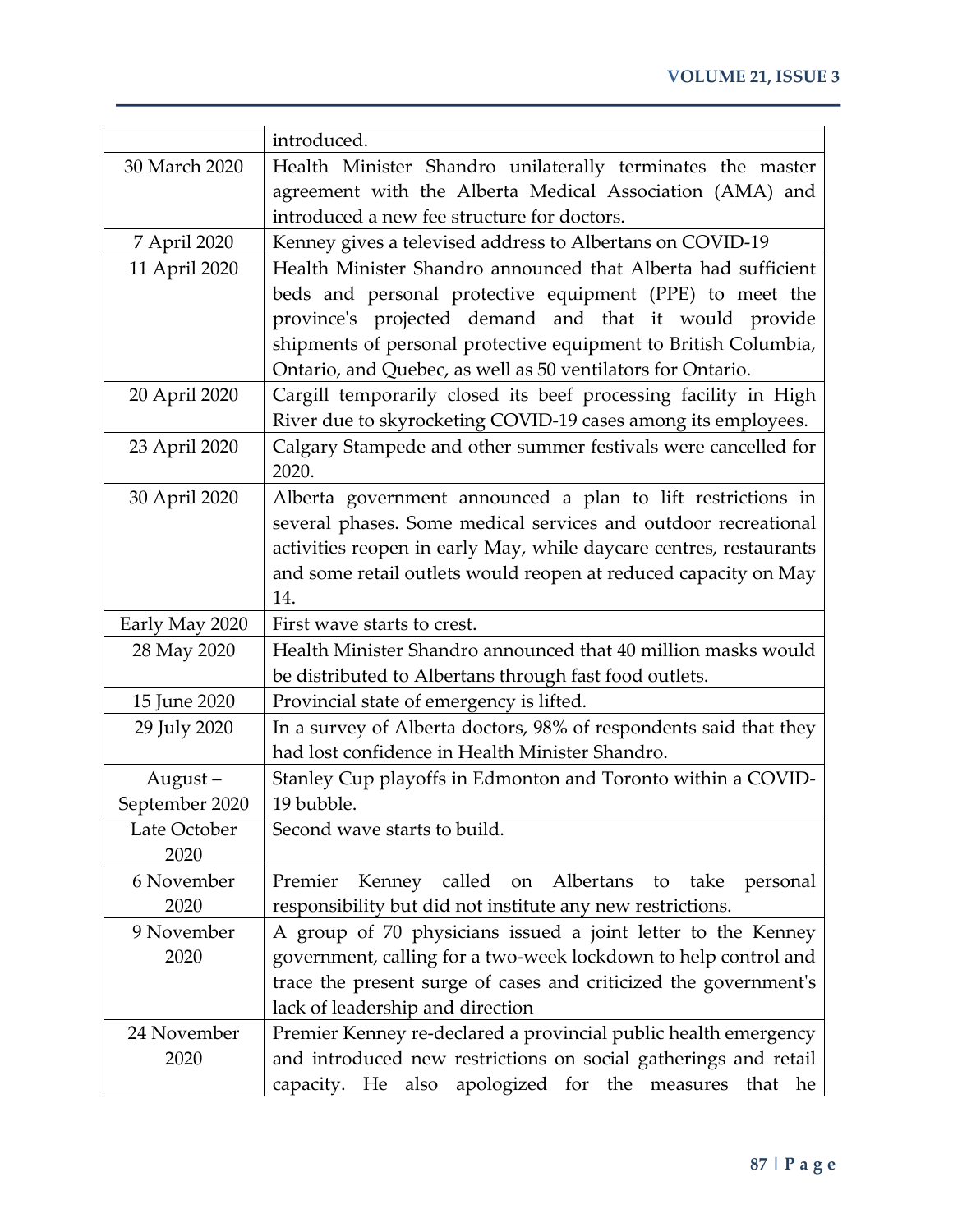|                | introduced.                                                             |
|----------------|-------------------------------------------------------------------------|
| 30 March 2020  | Health Minister Shandro unilaterally terminates the master              |
|                | agreement with the Alberta Medical Association (AMA) and                |
|                | introduced a new fee structure for doctors.                             |
| 7 April 2020   | Kenney gives a televised address to Albertans on COVID-19               |
| 11 April 2020  | Health Minister Shandro announced that Alberta had sufficient           |
|                | beds and personal protective equipment (PPE) to meet the                |
|                | province's projected demand and that it would provide                   |
|                | shipments of personal protective equipment to British Columbia,         |
|                | Ontario, and Quebec, as well as 50 ventilators for Ontario.             |
| 20 April 2020  | Cargill temporarily closed its beef processing facility in High         |
|                | River due to skyrocketing COVID-19 cases among its employees.           |
| 23 April 2020  | Calgary Stampede and other summer festivals were cancelled for<br>2020. |
| 30 April 2020  | Alberta government announced a plan to lift restrictions in             |
|                | several phases. Some medical services and outdoor recreational          |
|                | activities reopen in early May, while daycare centres, restaurants      |
|                | and some retail outlets would reopen at reduced capacity on May         |
|                | 14.                                                                     |
| Early May 2020 | First wave starts to crest.                                             |
| 28 May 2020    | Health Minister Shandro announced that 40 million masks would           |
|                | be distributed to Albertans through fast food outlets.                  |
| 15 June 2020   | Provincial state of emergency is lifted.                                |
| 29 July 2020   | In a survey of Alberta doctors, 98% of respondents said that they       |
|                | had lost confidence in Health Minister Shandro.                         |
| August-        | Stanley Cup playoffs in Edmonton and Toronto within a COVID-            |
| September 2020 | 19 bubble.                                                              |
| Late October   | Second wave starts to build.                                            |
| 2020           |                                                                         |
| 6 November     | Kenney called on Albertans to take<br>Premier<br>personal               |
| 2020           | responsibility but did not institute any new restrictions.              |
| 9 November     | A group of 70 physicians issued a joint letter to the Kenney            |
| 2020           | government, calling for a two-week lockdown to help control and         |
|                | trace the present surge of cases and criticized the government's        |
|                | lack of leadership and direction                                        |
| 24 November    | Premier Kenney re-declared a provincial public health emergency         |
| 2020           | and introduced new restrictions on social gatherings and retail         |
|                | capacity. He also apologized for the measures that he                   |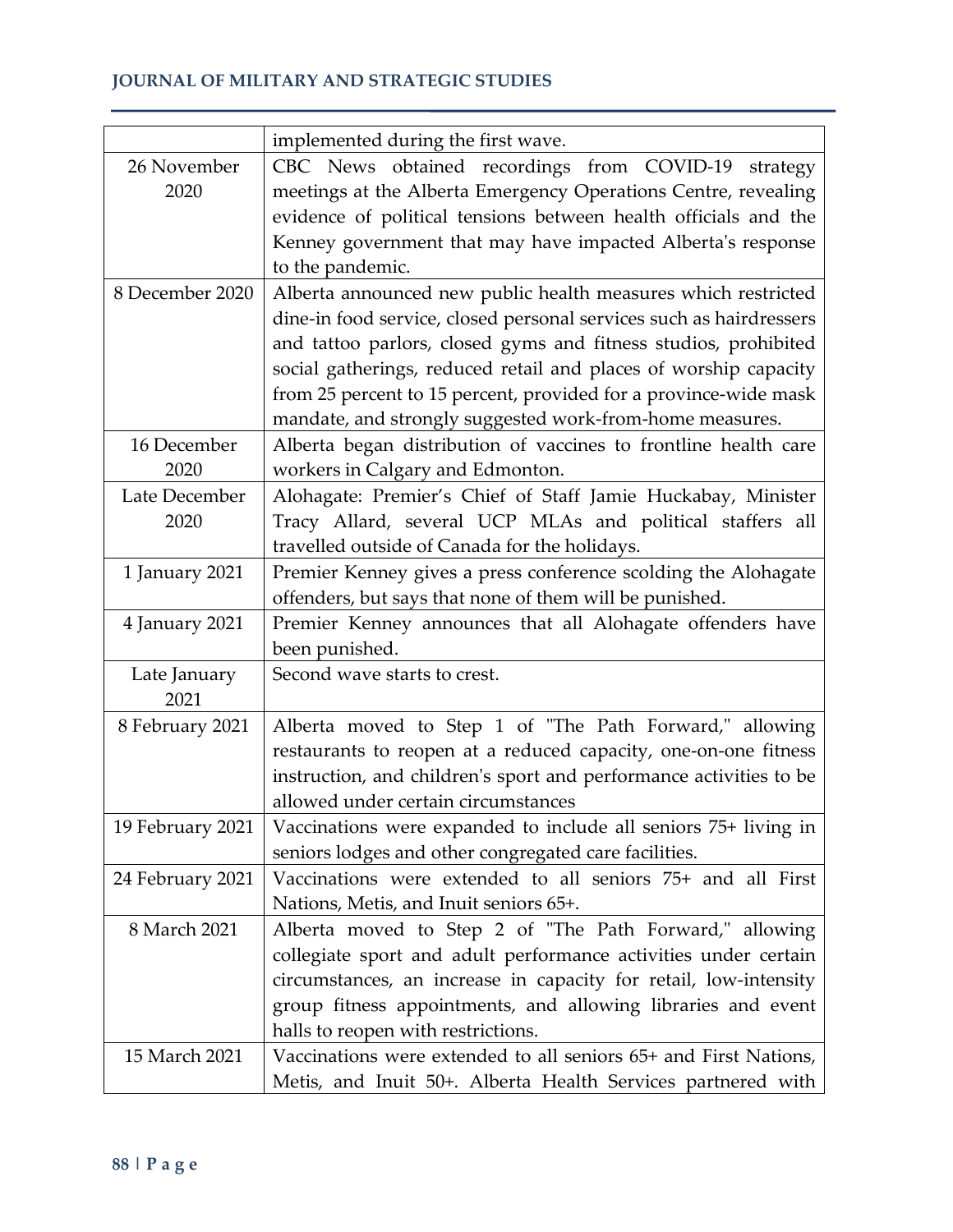## **JOURNAL OF MILITARY AND STRATEGIC STUDIES**

|                     | implemented during the first wave.                                                                                    |
|---------------------|-----------------------------------------------------------------------------------------------------------------------|
| 26 November<br>2020 | CBC News obtained recordings from COVID-19 strategy<br>meetings at the Alberta Emergency Operations Centre, revealing |
|                     | evidence of political tensions between health officials and the                                                       |
|                     | Kenney government that may have impacted Alberta's response                                                           |
|                     | to the pandemic.                                                                                                      |
| 8 December 2020     | Alberta announced new public health measures which restricted                                                         |
|                     | dine-in food service, closed personal services such as hairdressers                                                   |
|                     | and tattoo parlors, closed gyms and fitness studios, prohibited                                                       |
|                     | social gatherings, reduced retail and places of worship capacity                                                      |
|                     | from 25 percent to 15 percent, provided for a province-wide mask                                                      |
|                     | mandate, and strongly suggested work-from-home measures.                                                              |
| 16 December         | Alberta began distribution of vaccines to frontline health care                                                       |
| 2020                | workers in Calgary and Edmonton.                                                                                      |
| Late December       | Alohagate: Premier's Chief of Staff Jamie Huckabay, Minister                                                          |
| 2020                | Tracy Allard, several UCP MLAs and political staffers all                                                             |
|                     | travelled outside of Canada for the holidays.                                                                         |
| 1 January 2021      | Premier Kenney gives a press conference scolding the Alohagate                                                        |
|                     | offenders, but says that none of them will be punished.                                                               |
| 4 January 2021      | Premier Kenney announces that all Alohagate offenders have                                                            |
|                     | been punished.                                                                                                        |
| Late January        | Second wave starts to crest.                                                                                          |
| 2021                |                                                                                                                       |
| 8 February 2021     | Alberta moved to Step 1 of "The Path Forward," allowing                                                               |
|                     | restaurants to reopen at a reduced capacity, one-on-one fitness                                                       |
|                     | instruction, and children's sport and performance activities to be                                                    |
|                     | allowed under certain circumstances                                                                                   |
| 19 February 2021    | Vaccinations were expanded to include all seniors 75+ living in                                                       |
|                     | seniors lodges and other congregated care facilities.                                                                 |
| 24 February 2021    | Vaccinations were extended to all seniors 75+ and all First                                                           |
|                     | Nations, Metis, and Inuit seniors 65+.                                                                                |
| 8 March 2021        | Alberta moved to Step 2 of "The Path Forward," allowing                                                               |
|                     | collegiate sport and adult performance activities under certain                                                       |
|                     | circumstances, an increase in capacity for retail, low-intensity                                                      |
|                     | group fitness appointments, and allowing libraries and event                                                          |
|                     | halls to reopen with restrictions.                                                                                    |
| 15 March 2021       | Vaccinations were extended to all seniors 65+ and First Nations,                                                      |
|                     | Metis, and Inuit 50+. Alberta Health Services partnered with                                                          |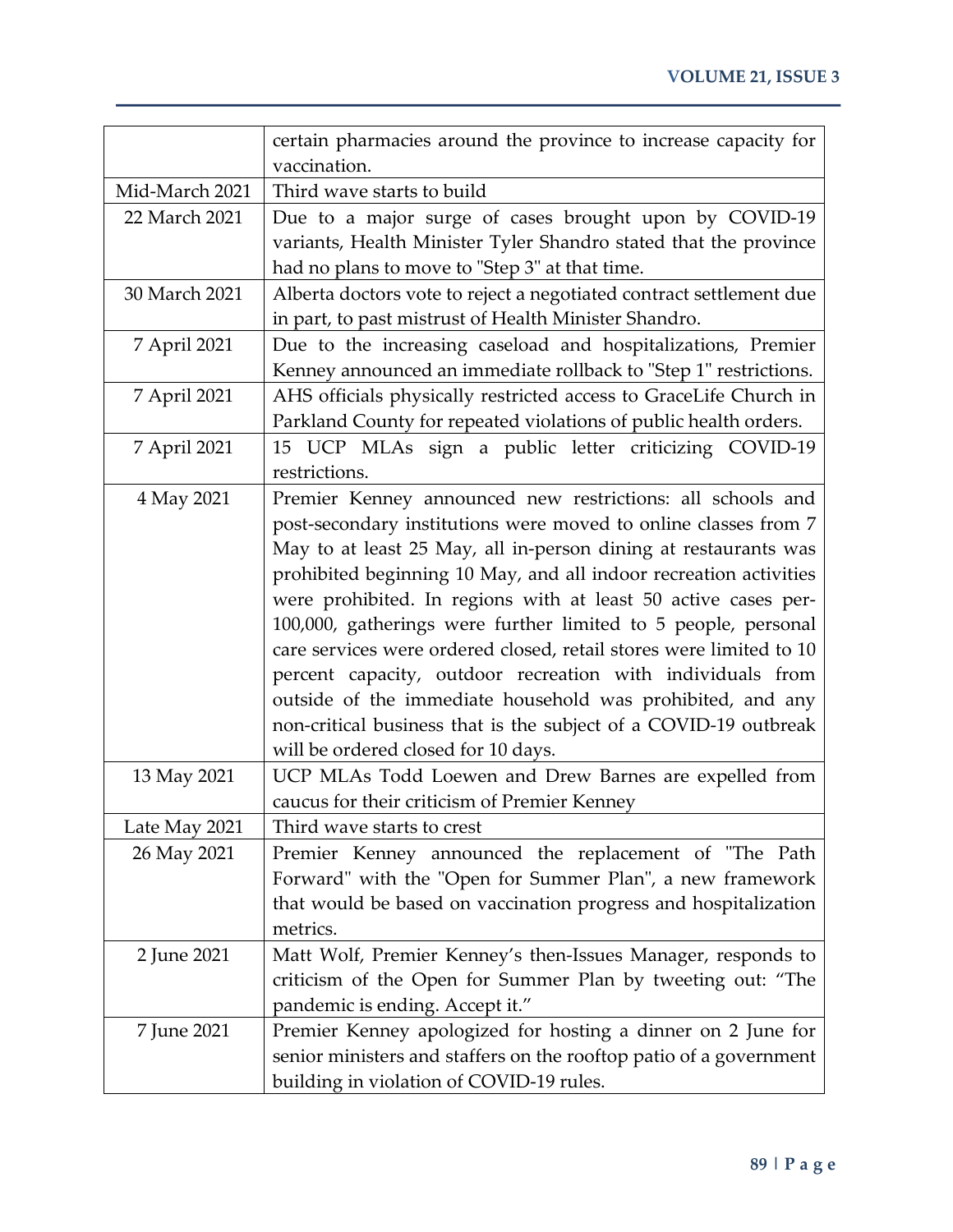|                | certain pharmacies around the province to increase capacity for     |
|----------------|---------------------------------------------------------------------|
|                | vaccination.                                                        |
| Mid-March 2021 | Third wave starts to build                                          |
| 22 March 2021  | Due to a major surge of cases brought upon by COVID-19              |
|                | variants, Health Minister Tyler Shandro stated that the province    |
|                | had no plans to move to "Step 3" at that time.                      |
| 30 March 2021  | Alberta doctors vote to reject a negotiated contract settlement due |
|                | in part, to past mistrust of Health Minister Shandro.               |
| 7 April 2021   | Due to the increasing caseload and hospitalizations, Premier        |
|                | Kenney announced an immediate rollback to "Step 1" restrictions.    |
| 7 April 2021   | AHS officials physically restricted access to GraceLife Church in   |
|                | Parkland County for repeated violations of public health orders.    |
| 7 April 2021   | 15 UCP MLAs sign a public letter criticizing COVID-19               |
|                | restrictions.                                                       |
| 4 May 2021     | Premier Kenney announced new restrictions: all schools and          |
|                | post-secondary institutions were moved to online classes from 7     |
|                | May to at least 25 May, all in-person dining at restaurants was     |
|                | prohibited beginning 10 May, and all indoor recreation activities   |
|                | were prohibited. In regions with at least 50 active cases per-      |
|                | 100,000, gatherings were further limited to 5 people, personal      |
|                | care services were ordered closed, retail stores were limited to 10 |
|                | percent capacity, outdoor recreation with individuals from          |
|                | outside of the immediate household was prohibited, and any          |
|                | non-critical business that is the subject of a COVID-19 outbreak    |
|                | will be ordered closed for 10 days.                                 |
| 13 May 2021    | UCP MLAs Todd Loewen and Drew Barnes are expelled from              |
|                | caucus for their criticism of Premier Kenney                        |
| Late May 2021  | Third wave starts to crest                                          |
| 26 May 2021    | Premier Kenney announced the replacement of "The Path               |
|                | Forward" with the "Open for Summer Plan", a new framework           |
|                | that would be based on vaccination progress and hospitalization     |
|                | metrics.                                                            |
| 2 June 2021    | Matt Wolf, Premier Kenney's then-Issues Manager, responds to        |
|                | criticism of the Open for Summer Plan by tweeting out: "The         |
|                | pandemic is ending. Accept it."                                     |
| 7 June 2021    | Premier Kenney apologized for hosting a dinner on 2 June for        |
|                | senior ministers and staffers on the rooftop patio of a government  |
|                | building in violation of COVID-19 rules.                            |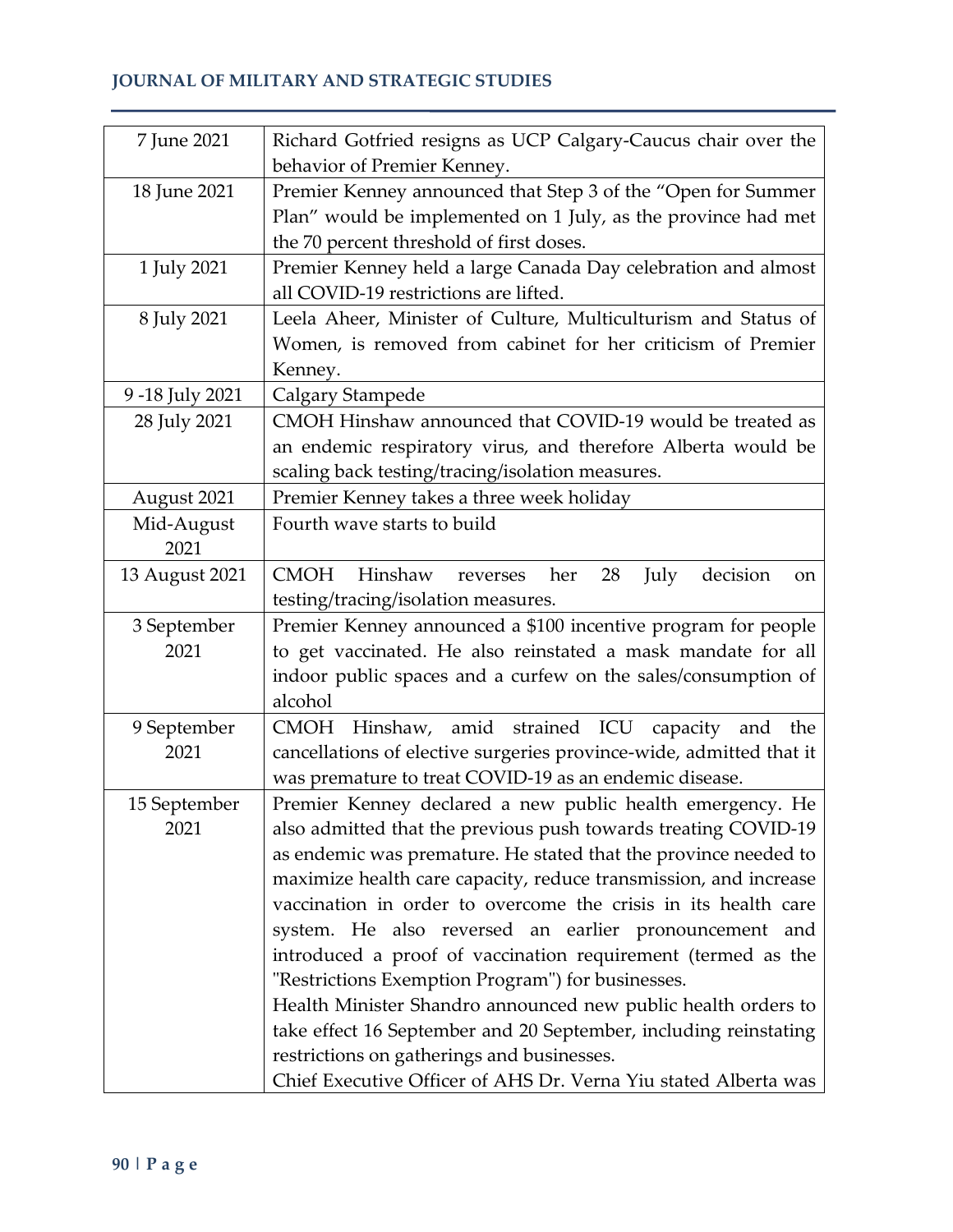## **JOURNAL OF MILITARY AND STRATEGIC STUDIES**

| 7 June 2021    | Richard Gotfried resigns as UCP Calgary-Caucus chair over the                        |
|----------------|--------------------------------------------------------------------------------------|
|                | behavior of Premier Kenney.                                                          |
| 18 June 2021   | Premier Kenney announced that Step 3 of the "Open for Summer                         |
|                | Plan" would be implemented on 1 July, as the province had met                        |
|                | the 70 percent threshold of first doses.                                             |
| 1 July 2021    | Premier Kenney held a large Canada Day celebration and almost                        |
|                | all COVID-19 restrictions are lifted.                                                |
| 8 July 2021    | Leela Aheer, Minister of Culture, Multiculturism and Status of                       |
|                | Women, is removed from cabinet for her criticism of Premier                          |
|                | Kenney.                                                                              |
| 9-18 July 2021 | Calgary Stampede                                                                     |
| 28 July 2021   | CMOH Hinshaw announced that COVID-19 would be treated as                             |
|                | an endemic respiratory virus, and therefore Alberta would be                         |
|                | scaling back testing/tracing/isolation measures.                                     |
| August 2021    | Premier Kenney takes a three week holiday                                            |
| Mid-August     | Fourth wave starts to build                                                          |
| 2021           |                                                                                      |
| 13 August 2021 | <b>CMOH</b><br>Hinshaw<br>decision<br>28<br>July<br>her<br>reverses<br><sub>on</sub> |
|                | testing/tracing/isolation measures.                                                  |
| 3 September    | Premier Kenney announced a \$100 incentive program for people                        |
| 2021           | to get vaccinated. He also reinstated a mask mandate for all                         |
|                | indoor public spaces and a curfew on the sales/consumption of                        |
|                | alcohol                                                                              |
| 9 September    | CMOH Hinshaw, amid strained ICU capacity and the                                     |
| 2021           | cancellations of elective surgeries province-wide, admitted that it                  |
|                | was premature to treat COVID-19 as an endemic disease.                               |
| 15 September   | Premier Kenney declared a new public health emergency. He                            |
| 2021           | also admitted that the previous push towards treating COVID-19                       |
|                | as endemic was premature. He stated that the province needed to                      |
|                | maximize health care capacity, reduce transmission, and increase                     |
|                | vaccination in order to overcome the crisis in its health care                       |
|                | system. He also reversed an earlier pronouncement and                                |
|                | introduced a proof of vaccination requirement (termed as the                         |
|                | "Restrictions Exemption Program") for businesses.                                    |
|                | Health Minister Shandro announced new public health orders to                        |
|                | take effect 16 September and 20 September, including reinstating                     |
|                | restrictions on gatherings and businesses.                                           |
|                | Chief Executive Officer of AHS Dr. Verna Yiu stated Alberta was                      |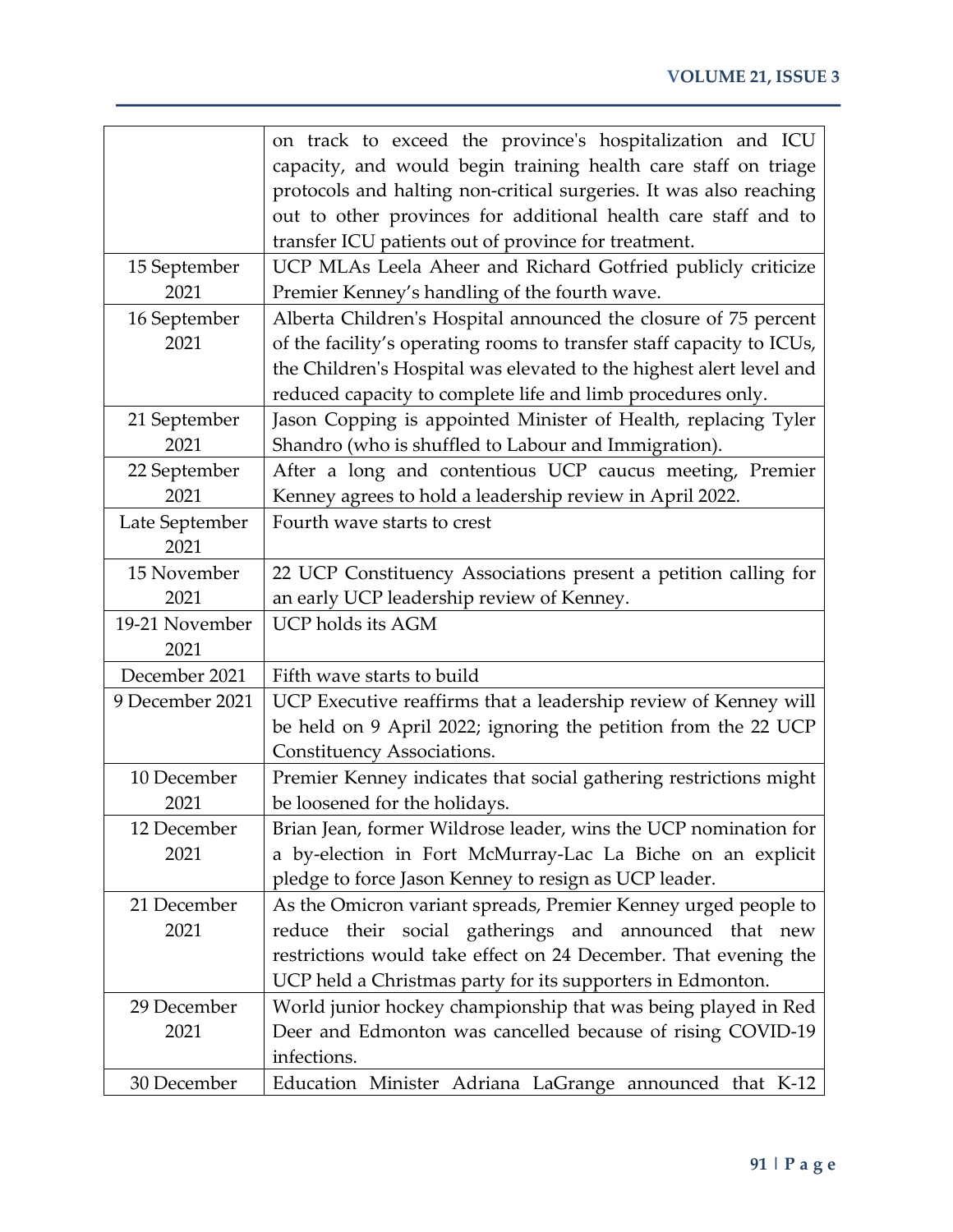|                 | on track to exceed the province's hospitalization and ICU             |
|-----------------|-----------------------------------------------------------------------|
|                 | capacity, and would begin training health care staff on triage        |
|                 | protocols and halting non-critical surgeries. It was also reaching    |
|                 | out to other provinces for additional health care staff and to        |
|                 | transfer ICU patients out of province for treatment.                  |
| 15 September    | UCP MLAs Leela Aheer and Richard Gotfried publicly criticize          |
| 2021            | Premier Kenney's handling of the fourth wave.                         |
| 16 September    | Alberta Children's Hospital announced the closure of 75 percent       |
| 2021            | of the facility's operating rooms to transfer staff capacity to ICUs, |
|                 | the Children's Hospital was elevated to the highest alert level and   |
|                 | reduced capacity to complete life and limb procedures only.           |
| 21 September    | Jason Copping is appointed Minister of Health, replacing Tyler        |
| 2021            | Shandro (who is shuffled to Labour and Immigration).                  |
| 22 September    | After a long and contentious UCP caucus meeting, Premier              |
| 2021            | Kenney agrees to hold a leadership review in April 2022.              |
| Late September  | Fourth wave starts to crest                                           |
| 2021            |                                                                       |
| 15 November     | 22 UCP Constituency Associations present a petition calling for       |
| 2021            | an early UCP leadership review of Kenney.                             |
| 19-21 November  | UCP holds its AGM                                                     |
| 2021            |                                                                       |
| December 2021   | Fifth wave starts to build                                            |
| 9 December 2021 | UCP Executive reaffirms that a leadership review of Kenney will       |
|                 | be held on 9 April 2022; ignoring the petition from the 22 UCP        |
|                 | Constituency Associations.                                            |
| 10 December     | Premier Kenney indicates that social gathering restrictions might     |
| 2021            | be loosened for the holidays.                                         |
| 12 December     | Brian Jean, former Wildrose leader, wins the UCP nomination for       |
| 2021            | a by-election in Fort McMurray-Lac La Biche on an explicit            |
|                 | pledge to force Jason Kenney to resign as UCP leader.                 |
| 21 December     | As the Omicron variant spreads, Premier Kenney urged people to        |
| 2021            | reduce their social gatherings and announced that new                 |
|                 | restrictions would take effect on 24 December. That evening the       |
|                 | UCP held a Christmas party for its supporters in Edmonton.            |
| 29 December     | World junior hockey championship that was being played in Red         |
| 2021            | Deer and Edmonton was cancelled because of rising COVID-19            |
|                 | infections.                                                           |
| 30 December     | Education Minister Adriana LaGrange announced that K-12               |